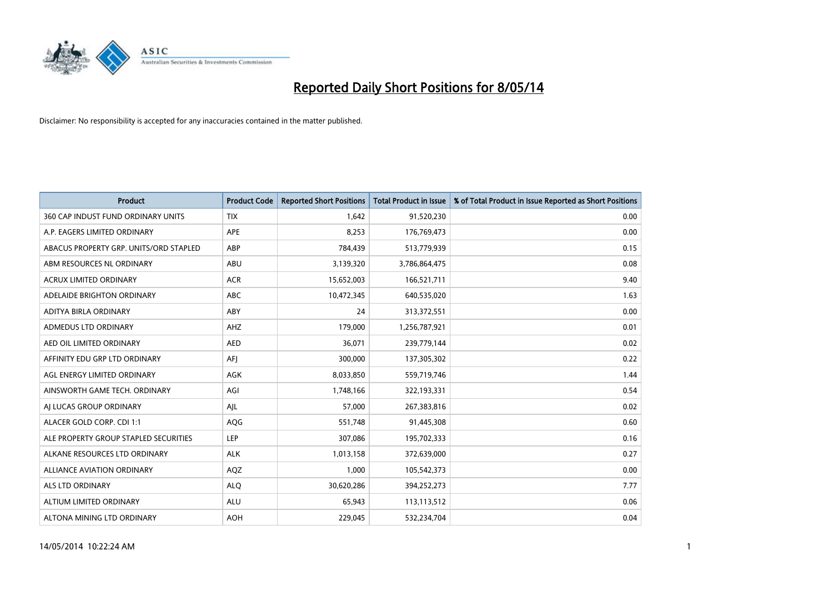

| <b>Product</b>                         | <b>Product Code</b> | <b>Reported Short Positions</b> | <b>Total Product in Issue</b> | % of Total Product in Issue Reported as Short Positions |
|----------------------------------------|---------------------|---------------------------------|-------------------------------|---------------------------------------------------------|
| 360 CAP INDUST FUND ORDINARY UNITS     | <b>TIX</b>          | 1,642                           | 91,520,230                    | 0.00                                                    |
| A.P. EAGERS LIMITED ORDINARY           | APE                 | 8,253                           | 176,769,473                   | 0.00                                                    |
| ABACUS PROPERTY GRP. UNITS/ORD STAPLED | ABP                 | 784,439                         | 513,779,939                   | 0.15                                                    |
| ABM RESOURCES NL ORDINARY              | ABU                 | 3,139,320                       | 3,786,864,475                 | 0.08                                                    |
| <b>ACRUX LIMITED ORDINARY</b>          | <b>ACR</b>          | 15,652,003                      | 166,521,711                   | 9.40                                                    |
| ADELAIDE BRIGHTON ORDINARY             | <b>ABC</b>          | 10,472,345                      | 640,535,020                   | 1.63                                                    |
| ADITYA BIRLA ORDINARY                  | ABY                 | 24                              | 313,372,551                   | 0.00                                                    |
| ADMEDUS LTD ORDINARY                   | AHZ                 | 179,000                         | 1,256,787,921                 | 0.01                                                    |
| AED OIL LIMITED ORDINARY               | <b>AED</b>          | 36,071                          | 239,779,144                   | 0.02                                                    |
| AFFINITY EDU GRP LTD ORDINARY          | AFI                 | 300,000                         | 137,305,302                   | 0.22                                                    |
| AGL ENERGY LIMITED ORDINARY            | AGK                 | 8,033,850                       | 559,719,746                   | 1.44                                                    |
| AINSWORTH GAME TECH. ORDINARY          | AGI                 | 1,748,166                       | 322,193,331                   | 0.54                                                    |
| AI LUCAS GROUP ORDINARY                | AJL                 | 57,000                          | 267,383,816                   | 0.02                                                    |
| ALACER GOLD CORP. CDI 1:1              | AQG                 | 551,748                         | 91,445,308                    | 0.60                                                    |
| ALE PROPERTY GROUP STAPLED SECURITIES  | LEP                 | 307,086                         | 195,702,333                   | 0.16                                                    |
| ALKANE RESOURCES LTD ORDINARY          | <b>ALK</b>          | 1,013,158                       | 372,639,000                   | 0.27                                                    |
| ALLIANCE AVIATION ORDINARY             | AQZ                 | 1,000                           | 105,542,373                   | 0.00                                                    |
| <b>ALS LTD ORDINARY</b>                | <b>ALQ</b>          | 30,620,286                      | 394,252,273                   | 7.77                                                    |
| ALTIUM LIMITED ORDINARY                | <b>ALU</b>          | 65,943                          | 113,113,512                   | 0.06                                                    |
| ALTONA MINING LTD ORDINARY             | <b>AOH</b>          | 229,045                         | 532,234,704                   | 0.04                                                    |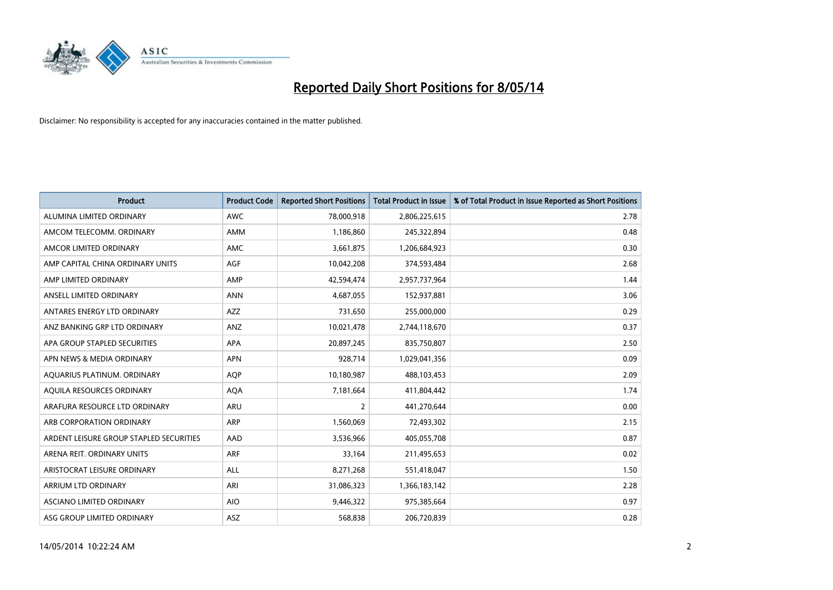

| <b>Product</b>                          | <b>Product Code</b> | <b>Reported Short Positions</b> | <b>Total Product in Issue</b> | % of Total Product in Issue Reported as Short Positions |
|-----------------------------------------|---------------------|---------------------------------|-------------------------------|---------------------------------------------------------|
| ALUMINA LIMITED ORDINARY                | <b>AWC</b>          | 78,000,918                      | 2,806,225,615                 | 2.78                                                    |
| AMCOM TELECOMM. ORDINARY                | AMM                 | 1,186,860                       | 245,322,894                   | 0.48                                                    |
| AMCOR LIMITED ORDINARY                  | <b>AMC</b>          | 3,661,875                       | 1,206,684,923                 | 0.30                                                    |
| AMP CAPITAL CHINA ORDINARY UNITS        | AGF                 | 10,042,208                      | 374,593,484                   | 2.68                                                    |
| AMP LIMITED ORDINARY                    | AMP                 | 42.594.474                      | 2,957,737,964                 | 1.44                                                    |
| ANSELL LIMITED ORDINARY                 | <b>ANN</b>          | 4,687,055                       | 152,937,881                   | 3.06                                                    |
| ANTARES ENERGY LTD ORDINARY             | <b>AZZ</b>          | 731,650                         | 255,000,000                   | 0.29                                                    |
| ANZ BANKING GRP LTD ORDINARY            | ANZ                 | 10,021,478                      | 2,744,118,670                 | 0.37                                                    |
| APA GROUP STAPLED SECURITIES            | APA                 | 20,897,245                      | 835,750,807                   | 2.50                                                    |
| APN NEWS & MEDIA ORDINARY               | <b>APN</b>          | 928,714                         | 1,029,041,356                 | 0.09                                                    |
| AQUARIUS PLATINUM. ORDINARY             | <b>AQP</b>          | 10,180,987                      | 488,103,453                   | 2.09                                                    |
| AQUILA RESOURCES ORDINARY               | <b>AQA</b>          | 7,181,664                       | 411,804,442                   | 1.74                                                    |
| ARAFURA RESOURCE LTD ORDINARY           | <b>ARU</b>          | $\overline{2}$                  | 441,270,644                   | 0.00                                                    |
| ARB CORPORATION ORDINARY                | <b>ARP</b>          | 1,560,069                       | 72,493,302                    | 2.15                                                    |
| ARDENT LEISURE GROUP STAPLED SECURITIES | AAD                 | 3,536,966                       | 405,055,708                   | 0.87                                                    |
| ARENA REIT. ORDINARY UNITS              | ARF                 | 33,164                          | 211,495,653                   | 0.02                                                    |
| ARISTOCRAT LEISURE ORDINARY             | <b>ALL</b>          | 8,271,268                       | 551,418,047                   | 1.50                                                    |
| ARRIUM LTD ORDINARY                     | ARI                 | 31,086,323                      | 1,366,183,142                 | 2.28                                                    |
| ASCIANO LIMITED ORDINARY                | <b>AIO</b>          | 9,446,322                       | 975,385,664                   | 0.97                                                    |
| ASG GROUP LIMITED ORDINARY              | ASZ                 | 568,838                         | 206,720,839                   | 0.28                                                    |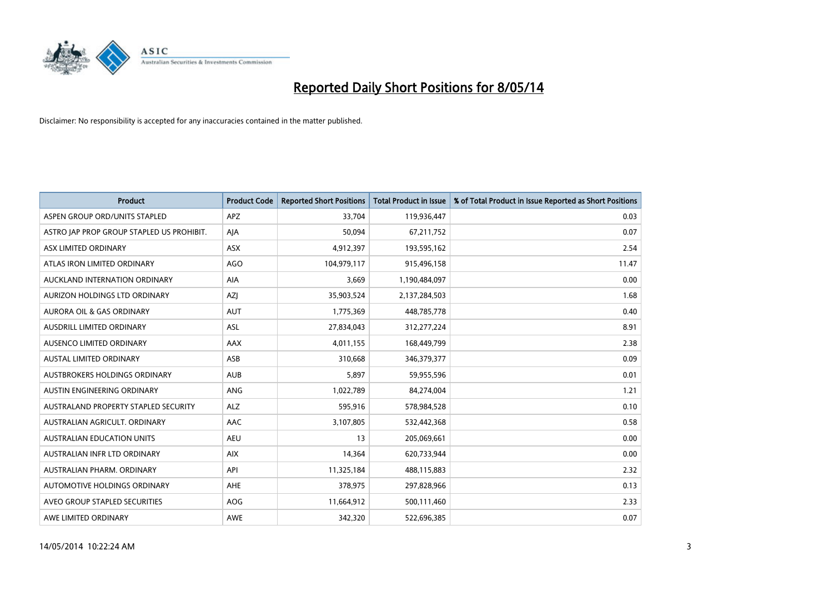

| <b>Product</b>                            | <b>Product Code</b> | <b>Reported Short Positions</b> | <b>Total Product in Issue</b> | % of Total Product in Issue Reported as Short Positions |
|-------------------------------------------|---------------------|---------------------------------|-------------------------------|---------------------------------------------------------|
| ASPEN GROUP ORD/UNITS STAPLED             | <b>APZ</b>          | 33,704                          | 119,936,447                   | 0.03                                                    |
| ASTRO JAP PROP GROUP STAPLED US PROHIBIT. | AIA                 | 50,094                          | 67,211,752                    | 0.07                                                    |
| ASX LIMITED ORDINARY                      | <b>ASX</b>          | 4,912,397                       | 193,595,162                   | 2.54                                                    |
| ATLAS IRON LIMITED ORDINARY               | <b>AGO</b>          | 104,979,117                     | 915,496,158                   | 11.47                                                   |
| AUCKLAND INTERNATION ORDINARY             | AIA                 | 3,669                           | 1,190,484,097                 | 0.00                                                    |
| AURIZON HOLDINGS LTD ORDINARY             | AZJ                 | 35,903,524                      | 2,137,284,503                 | 1.68                                                    |
| <b>AURORA OIL &amp; GAS ORDINARY</b>      | <b>AUT</b>          | 1,775,369                       | 448,785,778                   | 0.40                                                    |
| AUSDRILL LIMITED ORDINARY                 | ASL                 | 27,834,043                      | 312,277,224                   | 8.91                                                    |
| AUSENCO LIMITED ORDINARY                  | AAX                 | 4,011,155                       | 168,449,799                   | 2.38                                                    |
| <b>AUSTAL LIMITED ORDINARY</b>            | ASB                 | 310,668                         | 346,379,377                   | 0.09                                                    |
| AUSTBROKERS HOLDINGS ORDINARY             | <b>AUB</b>          | 5,897                           | 59,955,596                    | 0.01                                                    |
| AUSTIN ENGINEERING ORDINARY               | ANG                 | 1,022,789                       | 84,274,004                    | 1.21                                                    |
| AUSTRALAND PROPERTY STAPLED SECURITY      | <b>ALZ</b>          | 595,916                         | 578,984,528                   | 0.10                                                    |
| AUSTRALIAN AGRICULT, ORDINARY             | AAC                 | 3,107,805                       | 532,442,368                   | 0.58                                                    |
| <b>AUSTRALIAN EDUCATION UNITS</b>         | <b>AEU</b>          | 13                              | 205,069,661                   | 0.00                                                    |
| AUSTRALIAN INFR LTD ORDINARY              | <b>AIX</b>          | 14,364                          | 620,733,944                   | 0.00                                                    |
| AUSTRALIAN PHARM. ORDINARY                | API                 | 11,325,184                      | 488,115,883                   | 2.32                                                    |
| AUTOMOTIVE HOLDINGS ORDINARY              | <b>AHE</b>          | 378,975                         | 297,828,966                   | 0.13                                                    |
| AVEO GROUP STAPLED SECURITIES             | <b>AOG</b>          | 11,664,912                      | 500,111,460                   | 2.33                                                    |
| AWE LIMITED ORDINARY                      | AWE                 | 342,320                         | 522,696,385                   | 0.07                                                    |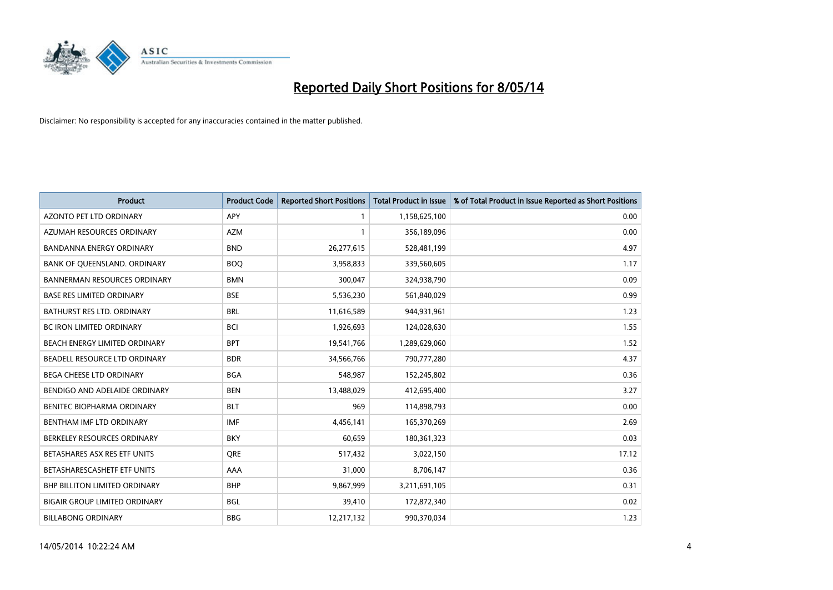

| <b>Product</b>                       | <b>Product Code</b> | <b>Reported Short Positions</b> | <b>Total Product in Issue</b> | % of Total Product in Issue Reported as Short Positions |
|--------------------------------------|---------------------|---------------------------------|-------------------------------|---------------------------------------------------------|
| <b>AZONTO PET LTD ORDINARY</b>       | <b>APY</b>          | 1                               | 1,158,625,100                 | 0.00                                                    |
| AZUMAH RESOURCES ORDINARY            | <b>AZM</b>          | 1                               | 356,189,096                   | 0.00                                                    |
| <b>BANDANNA ENERGY ORDINARY</b>      | <b>BND</b>          | 26,277,615                      | 528,481,199                   | 4.97                                                    |
| BANK OF QUEENSLAND. ORDINARY         | <b>BOQ</b>          | 3,958,833                       | 339,560,605                   | 1.17                                                    |
| <b>BANNERMAN RESOURCES ORDINARY</b>  | <b>BMN</b>          | 300,047                         | 324,938,790                   | 0.09                                                    |
| <b>BASE RES LIMITED ORDINARY</b>     | <b>BSE</b>          | 5,536,230                       | 561,840,029                   | 0.99                                                    |
| BATHURST RES LTD. ORDINARY           | <b>BRL</b>          | 11,616,589                      | 944,931,961                   | 1.23                                                    |
| <b>BC IRON LIMITED ORDINARY</b>      | <b>BCI</b>          | 1,926,693                       | 124,028,630                   | 1.55                                                    |
| BEACH ENERGY LIMITED ORDINARY        | <b>BPT</b>          | 19,541,766                      | 1,289,629,060                 | 1.52                                                    |
| BEADELL RESOURCE LTD ORDINARY        | <b>BDR</b>          | 34,566,766                      | 790,777,280                   | 4.37                                                    |
| <b>BEGA CHEESE LTD ORDINARY</b>      | <b>BGA</b>          | 548,987                         | 152,245,802                   | 0.36                                                    |
| BENDIGO AND ADELAIDE ORDINARY        | <b>BEN</b>          | 13,488,029                      | 412,695,400                   | 3.27                                                    |
| BENITEC BIOPHARMA ORDINARY           | <b>BLT</b>          | 969                             | 114,898,793                   | 0.00                                                    |
| BENTHAM IMF LTD ORDINARY             | <b>IMF</b>          | 4,456,141                       | 165,370,269                   | 2.69                                                    |
| BERKELEY RESOURCES ORDINARY          | <b>BKY</b>          | 60,659                          | 180,361,323                   | 0.03                                                    |
| BETASHARES ASX RES ETF UNITS         | <b>ORE</b>          | 517,432                         | 3,022,150                     | 17.12                                                   |
| BETASHARESCASHETF ETF UNITS          | AAA                 | 31,000                          | 8,706,147                     | 0.36                                                    |
| <b>BHP BILLITON LIMITED ORDINARY</b> | <b>BHP</b>          | 9,867,999                       | 3,211,691,105                 | 0.31                                                    |
| <b>BIGAIR GROUP LIMITED ORDINARY</b> | <b>BGL</b>          | 39,410                          | 172,872,340                   | 0.02                                                    |
| <b>BILLABONG ORDINARY</b>            | <b>BBG</b>          | 12,217,132                      | 990,370,034                   | 1.23                                                    |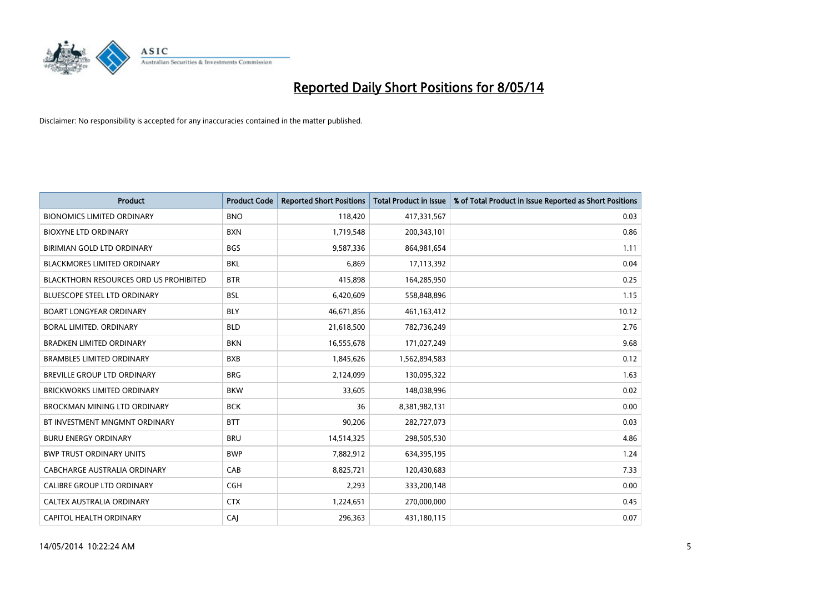

| <b>Product</b>                                | <b>Product Code</b> | <b>Reported Short Positions</b> | <b>Total Product in Issue</b> | % of Total Product in Issue Reported as Short Positions |
|-----------------------------------------------|---------------------|---------------------------------|-------------------------------|---------------------------------------------------------|
| <b>BIONOMICS LIMITED ORDINARY</b>             | <b>BNO</b>          | 118,420                         | 417,331,567                   | 0.03                                                    |
| <b>BIOXYNE LTD ORDINARY</b>                   | <b>BXN</b>          | 1,719,548                       | 200,343,101                   | 0.86                                                    |
| BIRIMIAN GOLD LTD ORDINARY                    | <b>BGS</b>          | 9,587,336                       | 864,981,654                   | 1.11                                                    |
| <b>BLACKMORES LIMITED ORDINARY</b>            | <b>BKL</b>          | 6,869                           | 17,113,392                    | 0.04                                                    |
| <b>BLACKTHORN RESOURCES ORD US PROHIBITED</b> | <b>BTR</b>          | 415,898                         | 164,285,950                   | 0.25                                                    |
| <b>BLUESCOPE STEEL LTD ORDINARY</b>           | <b>BSL</b>          | 6,420,609                       | 558,848,896                   | 1.15                                                    |
| <b>BOART LONGYEAR ORDINARY</b>                | <b>BLY</b>          | 46,671,856                      | 461,163,412                   | 10.12                                                   |
| BORAL LIMITED. ORDINARY                       | <b>BLD</b>          | 21,618,500                      | 782,736,249                   | 2.76                                                    |
| <b>BRADKEN LIMITED ORDINARY</b>               | <b>BKN</b>          | 16,555,678                      | 171,027,249                   | 9.68                                                    |
| <b>BRAMBLES LIMITED ORDINARY</b>              | <b>BXB</b>          | 1,845,626                       | 1,562,894,583                 | 0.12                                                    |
| BREVILLE GROUP LTD ORDINARY                   | <b>BRG</b>          | 2,124,099                       | 130,095,322                   | 1.63                                                    |
| <b>BRICKWORKS LIMITED ORDINARY</b>            | <b>BKW</b>          | 33,605                          | 148,038,996                   | 0.02                                                    |
| BROCKMAN MINING LTD ORDINARY                  | <b>BCK</b>          | 36                              | 8,381,982,131                 | 0.00                                                    |
| BT INVESTMENT MNGMNT ORDINARY                 | <b>BTT</b>          | 90,206                          | 282,727,073                   | 0.03                                                    |
| <b>BURU ENERGY ORDINARY</b>                   | <b>BRU</b>          | 14,514,325                      | 298,505,530                   | 4.86                                                    |
| <b>BWP TRUST ORDINARY UNITS</b>               | <b>BWP</b>          | 7,882,912                       | 634,395,195                   | 1.24                                                    |
| CABCHARGE AUSTRALIA ORDINARY                  | CAB                 | 8,825,721                       | 120,430,683                   | 7.33                                                    |
| CALIBRE GROUP LTD ORDINARY                    | <b>CGH</b>          | 2,293                           | 333,200,148                   | 0.00                                                    |
| CALTEX AUSTRALIA ORDINARY                     | <b>CTX</b>          | 1,224,651                       | 270,000,000                   | 0.45                                                    |
| CAPITOL HEALTH ORDINARY                       | CAJ                 | 296,363                         | 431,180,115                   | 0.07                                                    |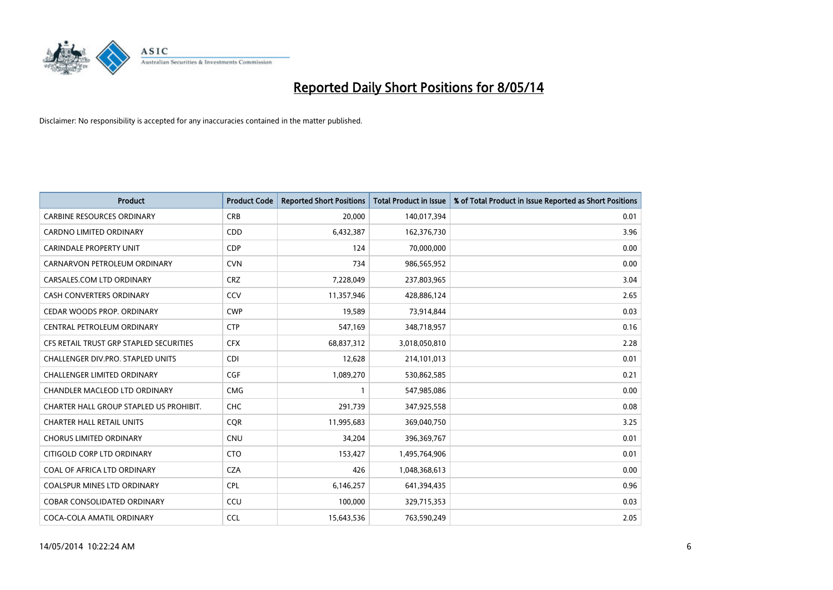

| <b>Product</b>                          | <b>Product Code</b> | <b>Reported Short Positions</b> | <b>Total Product in Issue</b> | % of Total Product in Issue Reported as Short Positions |
|-----------------------------------------|---------------------|---------------------------------|-------------------------------|---------------------------------------------------------|
| <b>CARBINE RESOURCES ORDINARY</b>       | <b>CRB</b>          | 20,000                          | 140,017,394                   | 0.01                                                    |
| <b>CARDNO LIMITED ORDINARY</b>          | <b>CDD</b>          | 6,432,387                       | 162,376,730                   | 3.96                                                    |
| <b>CARINDALE PROPERTY UNIT</b>          | <b>CDP</b>          | 124                             | 70,000,000                    | 0.00                                                    |
| CARNARVON PETROLEUM ORDINARY            | <b>CVN</b>          | 734                             | 986,565,952                   | 0.00                                                    |
| CARSALES.COM LTD ORDINARY               | <b>CRZ</b>          | 7,228,049                       | 237,803,965                   | 3.04                                                    |
| <b>CASH CONVERTERS ORDINARY</b>         | CCV                 | 11,357,946                      | 428,886,124                   | 2.65                                                    |
| CEDAR WOODS PROP. ORDINARY              | <b>CWP</b>          | 19,589                          | 73,914,844                    | 0.03                                                    |
| CENTRAL PETROLEUM ORDINARY              | <b>CTP</b>          | 547,169                         | 348,718,957                   | 0.16                                                    |
| CFS RETAIL TRUST GRP STAPLED SECURITIES | <b>CFX</b>          | 68,837,312                      | 3,018,050,810                 | 2.28                                                    |
| CHALLENGER DIV.PRO. STAPLED UNITS       | <b>CDI</b>          | 12,628                          | 214,101,013                   | 0.01                                                    |
| <b>CHALLENGER LIMITED ORDINARY</b>      | <b>CGF</b>          | 1,089,270                       | 530,862,585                   | 0.21                                                    |
| CHANDLER MACLEOD LTD ORDINARY           | <b>CMG</b>          | $\mathbf{1}$                    | 547,985,086                   | 0.00                                                    |
| CHARTER HALL GROUP STAPLED US PROHIBIT. | <b>CHC</b>          | 291,739                         | 347,925,558                   | 0.08                                                    |
| <b>CHARTER HALL RETAIL UNITS</b>        | <b>CQR</b>          | 11,995,683                      | 369,040,750                   | 3.25                                                    |
| <b>CHORUS LIMITED ORDINARY</b>          | <b>CNU</b>          | 34,204                          | 396,369,767                   | 0.01                                                    |
| CITIGOLD CORP LTD ORDINARY              | <b>CTO</b>          | 153,427                         | 1,495,764,906                 | 0.01                                                    |
| COAL OF AFRICA LTD ORDINARY             | <b>CZA</b>          | 426                             | 1,048,368,613                 | 0.00                                                    |
| <b>COALSPUR MINES LTD ORDINARY</b>      | <b>CPL</b>          | 6,146,257                       | 641,394,435                   | 0.96                                                    |
| <b>COBAR CONSOLIDATED ORDINARY</b>      | CCU                 | 100,000                         | 329,715,353                   | 0.03                                                    |
| COCA-COLA AMATIL ORDINARY               | <b>CCL</b>          | 15,643,536                      | 763,590,249                   | 2.05                                                    |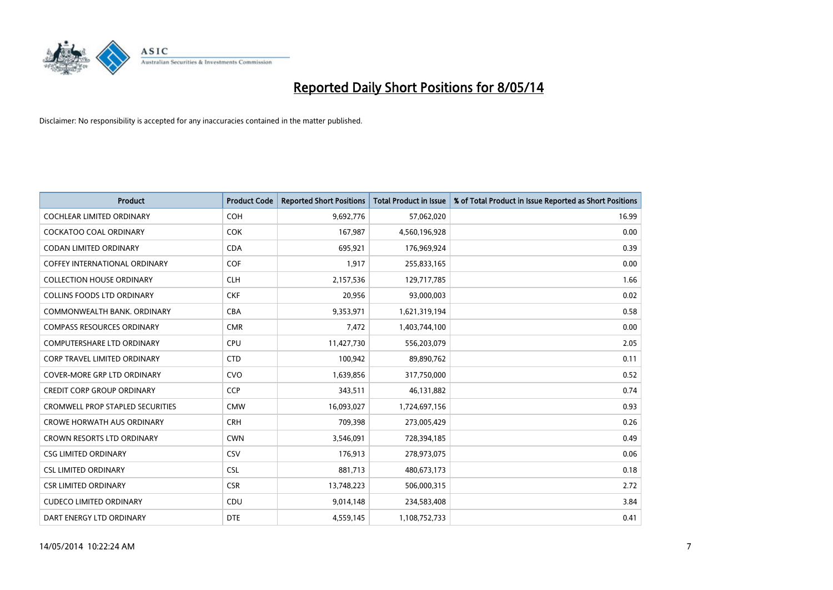

| <b>Product</b>                          | <b>Product Code</b> | <b>Reported Short Positions</b> | <b>Total Product in Issue</b> | % of Total Product in Issue Reported as Short Positions |
|-----------------------------------------|---------------------|---------------------------------|-------------------------------|---------------------------------------------------------|
| <b>COCHLEAR LIMITED ORDINARY</b>        | <b>COH</b>          | 9,692,776                       | 57,062,020                    | 16.99                                                   |
| <b>COCKATOO COAL ORDINARY</b>           | <b>COK</b>          | 167,987                         | 4,560,196,928                 | 0.00                                                    |
| <b>CODAN LIMITED ORDINARY</b>           | <b>CDA</b>          | 695,921                         | 176,969,924                   | 0.39                                                    |
| COFFEY INTERNATIONAL ORDINARY           | <b>COF</b>          | 1,917                           | 255,833,165                   | 0.00                                                    |
| <b>COLLECTION HOUSE ORDINARY</b>        | <b>CLH</b>          | 2,157,536                       | 129,717,785                   | 1.66                                                    |
| <b>COLLINS FOODS LTD ORDINARY</b>       | <b>CKF</b>          | 20,956                          | 93,000,003                    | 0.02                                                    |
| COMMONWEALTH BANK, ORDINARY             | <b>CBA</b>          | 9,353,971                       | 1,621,319,194                 | 0.58                                                    |
| <b>COMPASS RESOURCES ORDINARY</b>       | <b>CMR</b>          | 7,472                           | 1,403,744,100                 | 0.00                                                    |
| <b>COMPUTERSHARE LTD ORDINARY</b>       | <b>CPU</b>          | 11,427,730                      | 556,203,079                   | 2.05                                                    |
| <b>CORP TRAVEL LIMITED ORDINARY</b>     | <b>CTD</b>          | 100,942                         | 89,890,762                    | 0.11                                                    |
| <b>COVER-MORE GRP LTD ORDINARY</b>      | <b>CVO</b>          | 1,639,856                       | 317,750,000                   | 0.52                                                    |
| <b>CREDIT CORP GROUP ORDINARY</b>       | <b>CCP</b>          | 343,511                         | 46,131,882                    | 0.74                                                    |
| <b>CROMWELL PROP STAPLED SECURITIES</b> | <b>CMW</b>          | 16,093,027                      | 1,724,697,156                 | 0.93                                                    |
| <b>CROWE HORWATH AUS ORDINARY</b>       | <b>CRH</b>          | 709,398                         | 273,005,429                   | 0.26                                                    |
| <b>CROWN RESORTS LTD ORDINARY</b>       | <b>CWN</b>          | 3,546,091                       | 728,394,185                   | 0.49                                                    |
| <b>CSG LIMITED ORDINARY</b>             | CSV                 | 176,913                         | 278,973,075                   | 0.06                                                    |
| <b>CSL LIMITED ORDINARY</b>             | <b>CSL</b>          | 881,713                         | 480,673,173                   | 0.18                                                    |
| <b>CSR LIMITED ORDINARY</b>             | <b>CSR</b>          | 13,748,223                      | 506,000,315                   | 2.72                                                    |
| <b>CUDECO LIMITED ORDINARY</b>          | CDU                 | 9,014,148                       | 234,583,408                   | 3.84                                                    |
| DART ENERGY LTD ORDINARY                | <b>DTE</b>          | 4,559,145                       | 1,108,752,733                 | 0.41                                                    |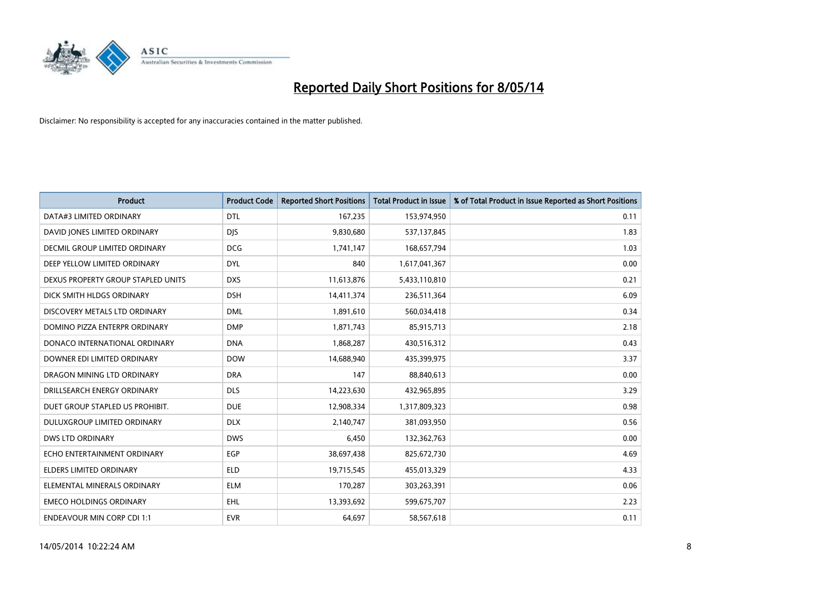

| <b>Product</b>                     | <b>Product Code</b> | <b>Reported Short Positions</b> | <b>Total Product in Issue</b> | % of Total Product in Issue Reported as Short Positions |
|------------------------------------|---------------------|---------------------------------|-------------------------------|---------------------------------------------------------|
| DATA#3 LIMITED ORDINARY            | <b>DTL</b>          | 167,235                         | 153,974,950                   | 0.11                                                    |
| DAVID JONES LIMITED ORDINARY       | <b>DIS</b>          | 9,830,680                       | 537,137,845                   | 1.83                                                    |
| DECMIL GROUP LIMITED ORDINARY      | <b>DCG</b>          | 1,741,147                       | 168,657,794                   | 1.03                                                    |
| DEEP YELLOW LIMITED ORDINARY       | <b>DYL</b>          | 840                             | 1,617,041,367                 | 0.00                                                    |
| DEXUS PROPERTY GROUP STAPLED UNITS | <b>DXS</b>          | 11,613,876                      | 5,433,110,810                 | 0.21                                                    |
| DICK SMITH HLDGS ORDINARY          | <b>DSH</b>          | 14,411,374                      | 236,511,364                   | 6.09                                                    |
| DISCOVERY METALS LTD ORDINARY      | <b>DML</b>          | 1,891,610                       | 560,034,418                   | 0.34                                                    |
| DOMINO PIZZA ENTERPR ORDINARY      | <b>DMP</b>          | 1,871,743                       | 85,915,713                    | 2.18                                                    |
| DONACO INTERNATIONAL ORDINARY      | <b>DNA</b>          | 1,868,287                       | 430,516,312                   | 0.43                                                    |
| DOWNER EDI LIMITED ORDINARY        | <b>DOW</b>          | 14,688,940                      | 435,399,975                   | 3.37                                                    |
| DRAGON MINING LTD ORDINARY         | <b>DRA</b>          | 147                             | 88,840,613                    | 0.00                                                    |
| DRILLSEARCH ENERGY ORDINARY        | <b>DLS</b>          | 14,223,630                      | 432,965,895                   | 3.29                                                    |
| DUET GROUP STAPLED US PROHIBIT.    | <b>DUE</b>          | 12,908,334                      | 1,317,809,323                 | 0.98                                                    |
| DULUXGROUP LIMITED ORDINARY        | <b>DLX</b>          | 2,140,747                       | 381,093,950                   | 0.56                                                    |
| <b>DWS LTD ORDINARY</b>            | <b>DWS</b>          | 6,450                           | 132,362,763                   | 0.00                                                    |
| ECHO ENTERTAINMENT ORDINARY        | EGP                 | 38,697,438                      | 825,672,730                   | 4.69                                                    |
| ELDERS LIMITED ORDINARY            | <b>ELD</b>          | 19,715,545                      | 455,013,329                   | 4.33                                                    |
| ELEMENTAL MINERALS ORDINARY        | <b>ELM</b>          | 170,287                         | 303,263,391                   | 0.06                                                    |
| <b>EMECO HOLDINGS ORDINARY</b>     | <b>EHL</b>          | 13,393,692                      | 599,675,707                   | 2.23                                                    |
| <b>ENDEAVOUR MIN CORP CDI 1:1</b>  | <b>EVR</b>          | 64,697                          | 58,567,618                    | 0.11                                                    |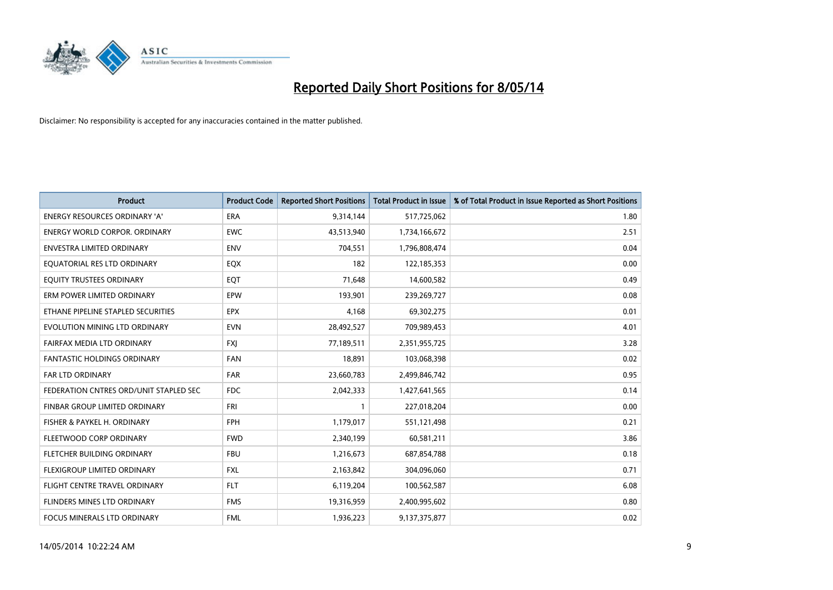

| <b>Product</b>                         | <b>Product Code</b> | <b>Reported Short Positions</b> | <b>Total Product in Issue</b> | % of Total Product in Issue Reported as Short Positions |
|----------------------------------------|---------------------|---------------------------------|-------------------------------|---------------------------------------------------------|
| <b>ENERGY RESOURCES ORDINARY 'A'</b>   | ERA                 | 9,314,144                       | 517,725,062                   | 1.80                                                    |
| <b>ENERGY WORLD CORPOR, ORDINARY</b>   | <b>EWC</b>          | 43,513,940                      | 1,734,166,672                 | 2.51                                                    |
| <b>ENVESTRA LIMITED ORDINARY</b>       | <b>ENV</b>          | 704,551                         | 1,796,808,474                 | 0.04                                                    |
| EQUATORIAL RES LTD ORDINARY            | EQX                 | 182                             | 122,185,353                   | 0.00                                                    |
| EOUITY TRUSTEES ORDINARY               | EQT                 | 71,648                          | 14,600,582                    | 0.49                                                    |
| ERM POWER LIMITED ORDINARY             | EPW                 | 193,901                         | 239,269,727                   | 0.08                                                    |
| ETHANE PIPELINE STAPLED SECURITIES     | <b>EPX</b>          | 4.168                           | 69,302,275                    | 0.01                                                    |
| EVOLUTION MINING LTD ORDINARY          | <b>EVN</b>          | 28,492,527                      | 709,989,453                   | 4.01                                                    |
| FAIRFAX MEDIA LTD ORDINARY             | <b>FXJ</b>          | 77,189,511                      | 2,351,955,725                 | 3.28                                                    |
| <b>FANTASTIC HOLDINGS ORDINARY</b>     | <b>FAN</b>          | 18,891                          | 103,068,398                   | 0.02                                                    |
| <b>FAR LTD ORDINARY</b>                | <b>FAR</b>          | 23,660,783                      | 2,499,846,742                 | 0.95                                                    |
| FEDERATION CNTRES ORD/UNIT STAPLED SEC | <b>FDC</b>          | 2,042,333                       | 1,427,641,565                 | 0.14                                                    |
| FINBAR GROUP LIMITED ORDINARY          | <b>FRI</b>          | 1                               | 227,018,204                   | 0.00                                                    |
| FISHER & PAYKEL H. ORDINARY            | <b>FPH</b>          | 1,179,017                       | 551,121,498                   | 0.21                                                    |
| FLEETWOOD CORP ORDINARY                | <b>FWD</b>          | 2,340,199                       | 60,581,211                    | 3.86                                                    |
| FLETCHER BUILDING ORDINARY             | <b>FBU</b>          | 1,216,673                       | 687,854,788                   | 0.18                                                    |
| FLEXIGROUP LIMITED ORDINARY            | <b>FXL</b>          | 2,163,842                       | 304,096,060                   | 0.71                                                    |
| FLIGHT CENTRE TRAVEL ORDINARY          | <b>FLT</b>          | 6,119,204                       | 100,562,587                   | 6.08                                                    |
| FLINDERS MINES LTD ORDINARY            | <b>FMS</b>          | 19,316,959                      | 2,400,995,602                 | 0.80                                                    |
| <b>FOCUS MINERALS LTD ORDINARY</b>     | <b>FML</b>          | 1,936,223                       | 9,137,375,877                 | 0.02                                                    |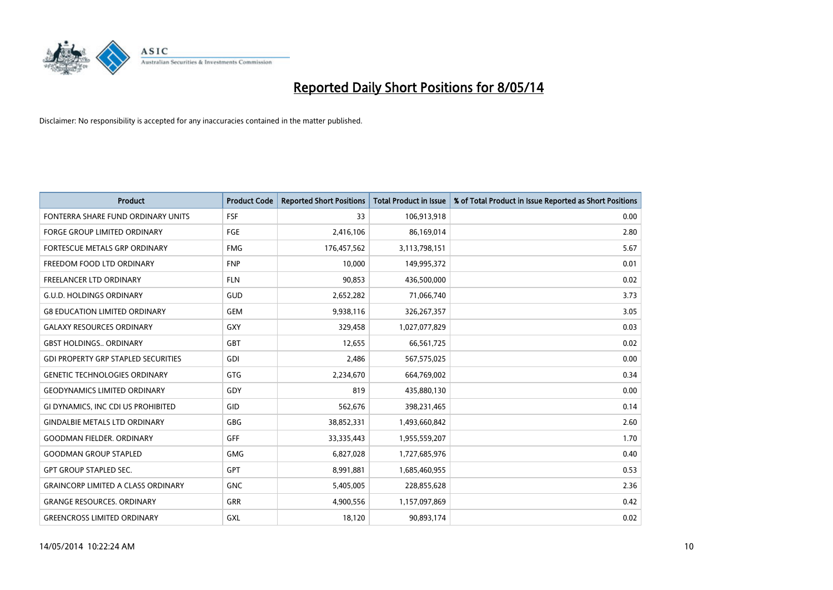

| <b>Product</b>                             | <b>Product Code</b> | <b>Reported Short Positions</b> | <b>Total Product in Issue</b> | % of Total Product in Issue Reported as Short Positions |
|--------------------------------------------|---------------------|---------------------------------|-------------------------------|---------------------------------------------------------|
| FONTERRA SHARE FUND ORDINARY UNITS         | <b>FSF</b>          | 33                              | 106,913,918                   | 0.00                                                    |
| <b>FORGE GROUP LIMITED ORDINARY</b>        | <b>FGE</b>          | 2,416,106                       | 86,169,014                    | 2.80                                                    |
| FORTESCUE METALS GRP ORDINARY              | <b>FMG</b>          | 176,457,562                     | 3,113,798,151                 | 5.67                                                    |
| FREEDOM FOOD LTD ORDINARY                  | <b>FNP</b>          | 10,000                          | 149,995,372                   | 0.01                                                    |
| <b>FREELANCER LTD ORDINARY</b>             | <b>FLN</b>          | 90,853                          | 436,500,000                   | 0.02                                                    |
| <b>G.U.D. HOLDINGS ORDINARY</b>            | GUD                 | 2,652,282                       | 71,066,740                    | 3.73                                                    |
| <b>G8 EDUCATION LIMITED ORDINARY</b>       | <b>GEM</b>          | 9,938,116                       | 326,267,357                   | 3.05                                                    |
| <b>GALAXY RESOURCES ORDINARY</b>           | <b>GXY</b>          | 329,458                         | 1,027,077,829                 | 0.03                                                    |
| <b>GBST HOLDINGS., ORDINARY</b>            | <b>GBT</b>          | 12,655                          | 66,561,725                    | 0.02                                                    |
| <b>GDI PROPERTY GRP STAPLED SECURITIES</b> | GDI                 | 2,486                           | 567,575,025                   | 0.00                                                    |
| <b>GENETIC TECHNOLOGIES ORDINARY</b>       | <b>GTG</b>          | 2,234,670                       | 664,769,002                   | 0.34                                                    |
| <b>GEODYNAMICS LIMITED ORDINARY</b>        | GDY                 | 819                             | 435,880,130                   | 0.00                                                    |
| GI DYNAMICS, INC CDI US PROHIBITED         | GID                 | 562,676                         | 398,231,465                   | 0.14                                                    |
| <b>GINDALBIE METALS LTD ORDINARY</b>       | <b>GBG</b>          | 38,852,331                      | 1,493,660,842                 | 2.60                                                    |
| <b>GOODMAN FIELDER, ORDINARY</b>           | <b>GFF</b>          | 33,335,443                      | 1,955,559,207                 | 1.70                                                    |
| <b>GOODMAN GROUP STAPLED</b>               | <b>GMG</b>          | 6,827,028                       | 1,727,685,976                 | 0.40                                                    |
| <b>GPT GROUP STAPLED SEC.</b>              | GPT                 | 8,991,881                       | 1,685,460,955                 | 0.53                                                    |
| <b>GRAINCORP LIMITED A CLASS ORDINARY</b>  | <b>GNC</b>          | 5,405,005                       | 228,855,628                   | 2.36                                                    |
| <b>GRANGE RESOURCES, ORDINARY</b>          | <b>GRR</b>          | 4,900,556                       | 1,157,097,869                 | 0.42                                                    |
| <b>GREENCROSS LIMITED ORDINARY</b>         | <b>GXL</b>          | 18,120                          | 90,893,174                    | 0.02                                                    |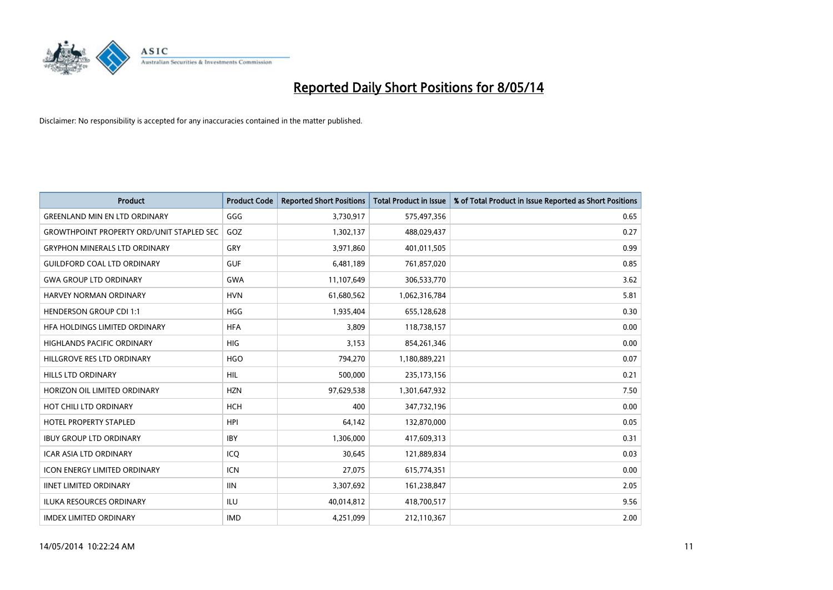

| <b>Product</b>                                   | <b>Product Code</b> | <b>Reported Short Positions</b> | <b>Total Product in Issue</b> | % of Total Product in Issue Reported as Short Positions |
|--------------------------------------------------|---------------------|---------------------------------|-------------------------------|---------------------------------------------------------|
| <b>GREENLAND MIN EN LTD ORDINARY</b>             | GGG                 | 3,730,917                       | 575,497,356                   | 0.65                                                    |
| <b>GROWTHPOINT PROPERTY ORD/UNIT STAPLED SEC</b> | GOZ                 | 1,302,137                       | 488,029,437                   | 0.27                                                    |
| <b>GRYPHON MINERALS LTD ORDINARY</b>             | GRY                 | 3,971,860                       | 401,011,505                   | 0.99                                                    |
| <b>GUILDFORD COAL LTD ORDINARY</b>               | <b>GUF</b>          | 6,481,189                       | 761,857,020                   | 0.85                                                    |
| <b>GWA GROUP LTD ORDINARY</b>                    | <b>GWA</b>          | 11,107,649                      | 306,533,770                   | 3.62                                                    |
| <b>HARVEY NORMAN ORDINARY</b>                    | <b>HVN</b>          | 61,680,562                      | 1,062,316,784                 | 5.81                                                    |
| <b>HENDERSON GROUP CDI 1:1</b>                   | <b>HGG</b>          | 1,935,404                       | 655,128,628                   | 0.30                                                    |
| <b>HFA HOLDINGS LIMITED ORDINARY</b>             | <b>HFA</b>          | 3,809                           | 118,738,157                   | 0.00                                                    |
| HIGHLANDS PACIFIC ORDINARY                       | HIG                 | 3,153                           | 854,261,346                   | 0.00                                                    |
| HILLGROVE RES LTD ORDINARY                       | <b>HGO</b>          | 794,270                         | 1,180,889,221                 | 0.07                                                    |
| HILLS LTD ORDINARY                               | <b>HIL</b>          | 500,000                         | 235, 173, 156                 | 0.21                                                    |
| HORIZON OIL LIMITED ORDINARY                     | <b>HZN</b>          | 97,629,538                      | 1,301,647,932                 | 7.50                                                    |
| HOT CHILI LTD ORDINARY                           | <b>HCH</b>          | 400                             | 347,732,196                   | 0.00                                                    |
| <b>HOTEL PROPERTY STAPLED</b>                    | <b>HPI</b>          | 64,142                          | 132,870,000                   | 0.05                                                    |
| <b>IBUY GROUP LTD ORDINARY</b>                   | <b>IBY</b>          | 1,306,000                       | 417,609,313                   | 0.31                                                    |
| ICAR ASIA LTD ORDINARY                           | ICO                 | 30,645                          | 121,889,834                   | 0.03                                                    |
| <b>ICON ENERGY LIMITED ORDINARY</b>              | <b>ICN</b>          | 27,075                          | 615,774,351                   | 0.00                                                    |
| <b>IINET LIMITED ORDINARY</b>                    | <b>IIN</b>          | 3,307,692                       | 161,238,847                   | 2.05                                                    |
| <b>ILUKA RESOURCES ORDINARY</b>                  | <b>ILU</b>          | 40,014,812                      | 418,700,517                   | 9.56                                                    |
| <b>IMDEX LIMITED ORDINARY</b>                    | <b>IMD</b>          | 4,251,099                       | 212,110,367                   | 2.00                                                    |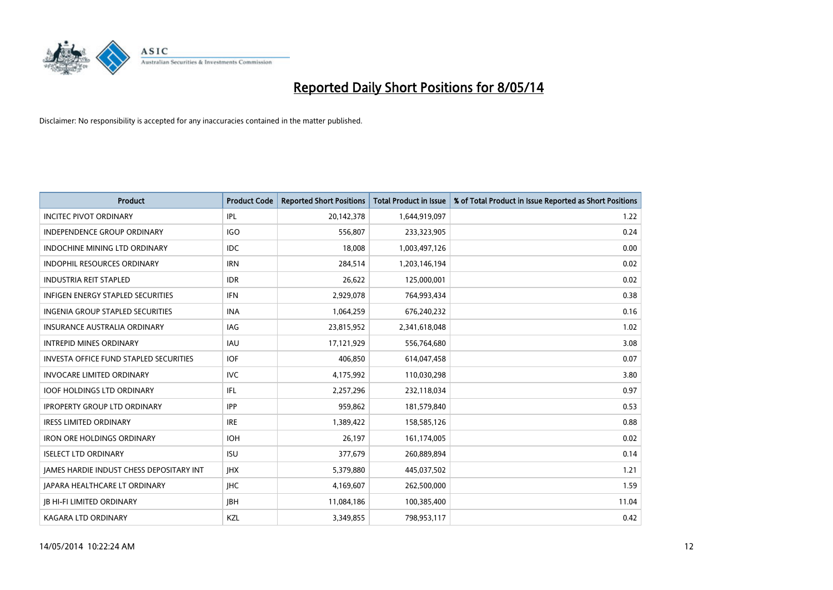

| <b>Product</b>                                | <b>Product Code</b> | <b>Reported Short Positions</b> | <b>Total Product in Issue</b> | % of Total Product in Issue Reported as Short Positions |
|-----------------------------------------------|---------------------|---------------------------------|-------------------------------|---------------------------------------------------------|
| <b>INCITEC PIVOT ORDINARY</b>                 | IPL                 | 20,142,378                      | 1,644,919,097                 | 1.22                                                    |
| <b>INDEPENDENCE GROUP ORDINARY</b>            | <b>IGO</b>          | 556,807                         | 233,323,905                   | 0.24                                                    |
| <b>INDOCHINE MINING LTD ORDINARY</b>          | IDC.                | 18,008                          | 1,003,497,126                 | 0.00                                                    |
| INDOPHIL RESOURCES ORDINARY                   | <b>IRN</b>          | 284,514                         | 1,203,146,194                 | 0.02                                                    |
| <b>INDUSTRIA REIT STAPLED</b>                 | <b>IDR</b>          | 26,622                          | 125,000,001                   | 0.02                                                    |
| <b>INFIGEN ENERGY STAPLED SECURITIES</b>      | <b>IFN</b>          | 2,929,078                       | 764,993,434                   | 0.38                                                    |
| <b>INGENIA GROUP STAPLED SECURITIES</b>       | <b>INA</b>          | 1,064,259                       | 676,240,232                   | 0.16                                                    |
| <b>INSURANCE AUSTRALIA ORDINARY</b>           | IAG                 | 23,815,952                      | 2,341,618,048                 | 1.02                                                    |
| <b>INTREPID MINES ORDINARY</b>                | <b>IAU</b>          | 17,121,929                      | 556,764,680                   | 3.08                                                    |
| <b>INVESTA OFFICE FUND STAPLED SECURITIES</b> | <b>IOF</b>          | 406,850                         | 614,047,458                   | 0.07                                                    |
| <b>INVOCARE LIMITED ORDINARY</b>              | <b>IVC</b>          | 4,175,992                       | 110,030,298                   | 3.80                                                    |
| <b>IOOF HOLDINGS LTD ORDINARY</b>             | IFL                 | 2,257,296                       | 232,118,034                   | 0.97                                                    |
| <b>IPROPERTY GROUP LTD ORDINARY</b>           | <b>IPP</b>          | 959.862                         | 181,579,840                   | 0.53                                                    |
| <b>IRESS LIMITED ORDINARY</b>                 | <b>IRE</b>          | 1,389,422                       | 158,585,126                   | 0.88                                                    |
| <b>IRON ORE HOLDINGS ORDINARY</b>             | <b>IOH</b>          | 26,197                          | 161,174,005                   | 0.02                                                    |
| <b>ISELECT LTD ORDINARY</b>                   | <b>ISU</b>          | 377,679                         | 260,889,894                   | 0.14                                                    |
| JAMES HARDIE INDUST CHESS DEPOSITARY INT      | <b>IHX</b>          | 5,379,880                       | 445,037,502                   | 1.21                                                    |
| <b>JAPARA HEALTHCARE LT ORDINARY</b>          | <b>IHC</b>          | 4,169,607                       | 262,500,000                   | 1.59                                                    |
| <b>IB HI-FI LIMITED ORDINARY</b>              | <b>IBH</b>          | 11,084,186                      | 100,385,400                   | 11.04                                                   |
| <b>KAGARA LTD ORDINARY</b>                    | KZL                 | 3,349,855                       | 798,953,117                   | 0.42                                                    |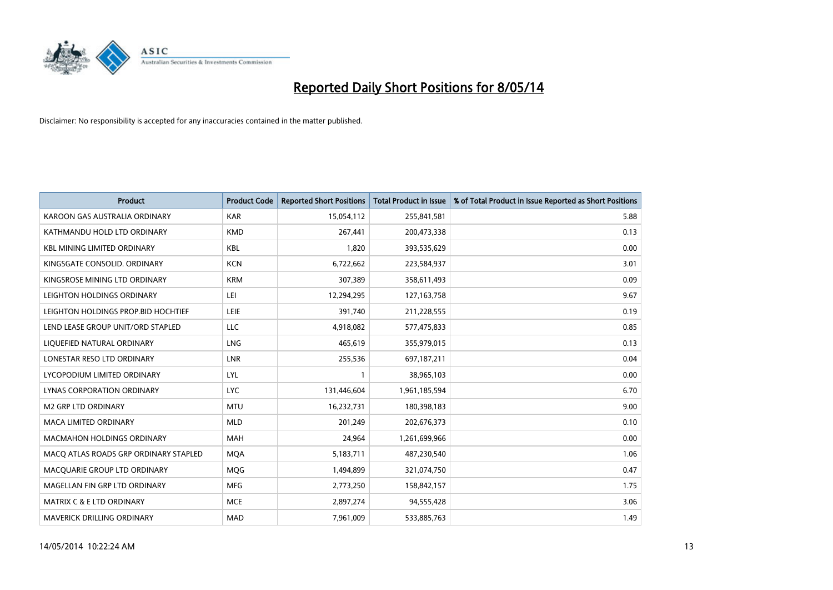

| <b>Product</b>                        | <b>Product Code</b> | <b>Reported Short Positions</b> | <b>Total Product in Issue</b> | % of Total Product in Issue Reported as Short Positions |
|---------------------------------------|---------------------|---------------------------------|-------------------------------|---------------------------------------------------------|
| KAROON GAS AUSTRALIA ORDINARY         | <b>KAR</b>          | 15,054,112                      | 255,841,581                   | 5.88                                                    |
| KATHMANDU HOLD LTD ORDINARY           | <b>KMD</b>          | 267,441                         | 200,473,338                   | 0.13                                                    |
| <b>KBL MINING LIMITED ORDINARY</b>    | <b>KBL</b>          | 1,820                           | 393,535,629                   | 0.00                                                    |
| KINGSGATE CONSOLID. ORDINARY          | <b>KCN</b>          | 6,722,662                       | 223,584,937                   | 3.01                                                    |
| KINGSROSE MINING LTD ORDINARY         | <b>KRM</b>          | 307,389                         | 358,611,493                   | 0.09                                                    |
| LEIGHTON HOLDINGS ORDINARY            | LEI                 | 12,294,295                      | 127, 163, 758                 | 9.67                                                    |
| LEIGHTON HOLDINGS PROP.BID HOCHTIEF   | <b>LEIE</b>         | 391,740                         | 211,228,555                   | 0.19                                                    |
| LEND LEASE GROUP UNIT/ORD STAPLED     | LLC                 | 4,918,082                       | 577,475,833                   | 0.85                                                    |
| LIQUEFIED NATURAL ORDINARY            | <b>LNG</b>          | 465,619                         | 355,979,015                   | 0.13                                                    |
| LONESTAR RESO LTD ORDINARY            | <b>LNR</b>          | 255,536                         | 697,187,211                   | 0.04                                                    |
| LYCOPODIUM LIMITED ORDINARY           | LYL                 | 1                               | 38,965,103                    | 0.00                                                    |
| <b>LYNAS CORPORATION ORDINARY</b>     | <b>LYC</b>          | 131,446,604                     | 1,961,185,594                 | 6.70                                                    |
| M2 GRP LTD ORDINARY                   | <b>MTU</b>          | 16,232,731                      | 180,398,183                   | 9.00                                                    |
| <b>MACA LIMITED ORDINARY</b>          | <b>MLD</b>          | 201,249                         | 202,676,373                   | 0.10                                                    |
| <b>MACMAHON HOLDINGS ORDINARY</b>     | <b>MAH</b>          | 24,964                          | 1,261,699,966                 | 0.00                                                    |
| MACO ATLAS ROADS GRP ORDINARY STAPLED | <b>MOA</b>          | 5,183,711                       | 487,230,540                   | 1.06                                                    |
| MACQUARIE GROUP LTD ORDINARY          | MQG                 | 1,494,899                       | 321,074,750                   | 0.47                                                    |
| MAGELLAN FIN GRP LTD ORDINARY         | <b>MFG</b>          | 2,773,250                       | 158,842,157                   | 1.75                                                    |
| MATRIX C & E LTD ORDINARY             | <b>MCE</b>          | 2,897,274                       | 94,555,428                    | 3.06                                                    |
| MAVERICK DRILLING ORDINARY            | <b>MAD</b>          | 7,961,009                       | 533,885,763                   | 1.49                                                    |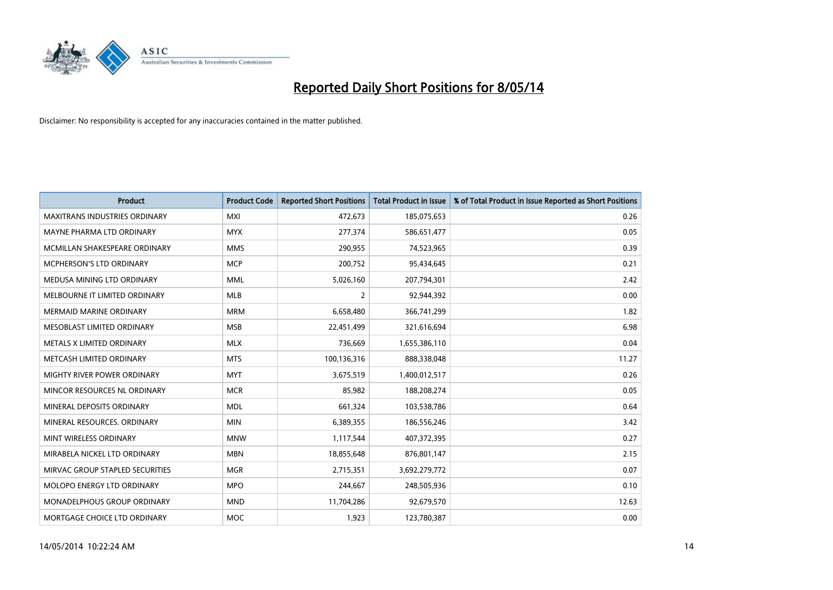

| <b>Product</b>                       | <b>Product Code</b> | <b>Reported Short Positions</b> | <b>Total Product in Issue</b> | % of Total Product in Issue Reported as Short Positions |
|--------------------------------------|---------------------|---------------------------------|-------------------------------|---------------------------------------------------------|
| <b>MAXITRANS INDUSTRIES ORDINARY</b> | <b>MXI</b>          | 472,673                         | 185,075,653                   | 0.26                                                    |
| MAYNE PHARMA LTD ORDINARY            | <b>MYX</b>          | 277,374                         | 586,651,477                   | 0.05                                                    |
| MCMILLAN SHAKESPEARE ORDINARY        | <b>MMS</b>          | 290,955                         | 74,523,965                    | 0.39                                                    |
| MCPHERSON'S LTD ORDINARY             | <b>MCP</b>          | 200,752                         | 95,434,645                    | 0.21                                                    |
| MEDUSA MINING LTD ORDINARY           | <b>MML</b>          | 5,026,160                       | 207,794,301                   | 2.42                                                    |
| MELBOURNE IT LIMITED ORDINARY        | <b>MLB</b>          | 2                               | 92,944,392                    | 0.00                                                    |
| <b>MERMAID MARINE ORDINARY</b>       | <b>MRM</b>          | 6,658,480                       | 366,741,299                   | 1.82                                                    |
| MESOBLAST LIMITED ORDINARY           | <b>MSB</b>          | 22,451,499                      | 321,616,694                   | 6.98                                                    |
| METALS X LIMITED ORDINARY            | <b>MLX</b>          | 736,669                         | 1,655,386,110                 | 0.04                                                    |
| METCASH LIMITED ORDINARY             | <b>MTS</b>          | 100,136,316                     | 888,338,048                   | 11.27                                                   |
| MIGHTY RIVER POWER ORDINARY          | <b>MYT</b>          | 3,675,519                       | 1,400,012,517                 | 0.26                                                    |
| MINCOR RESOURCES NL ORDINARY         | <b>MCR</b>          | 85,982                          | 188,208,274                   | 0.05                                                    |
| MINERAL DEPOSITS ORDINARY            | <b>MDL</b>          | 661,324                         | 103,538,786                   | 0.64                                                    |
| MINERAL RESOURCES, ORDINARY          | <b>MIN</b>          | 6,389,355                       | 186,556,246                   | 3.42                                                    |
| MINT WIRELESS ORDINARY               | <b>MNW</b>          | 1,117,544                       | 407,372,395                   | 0.27                                                    |
| MIRABELA NICKEL LTD ORDINARY         | <b>MBN</b>          | 18,855,648                      | 876,801,147                   | 2.15                                                    |
| MIRVAC GROUP STAPLED SECURITIES      | <b>MGR</b>          | 2,715,351                       | 3,692,279,772                 | 0.07                                                    |
| MOLOPO ENERGY LTD ORDINARY           | <b>MPO</b>          | 244,667                         | 248,505,936                   | 0.10                                                    |
| MONADELPHOUS GROUP ORDINARY          | <b>MND</b>          | 11,704,286                      | 92,679,570                    | 12.63                                                   |
| MORTGAGE CHOICE LTD ORDINARY         | <b>MOC</b>          | 1,923                           | 123,780,387                   | 0.00                                                    |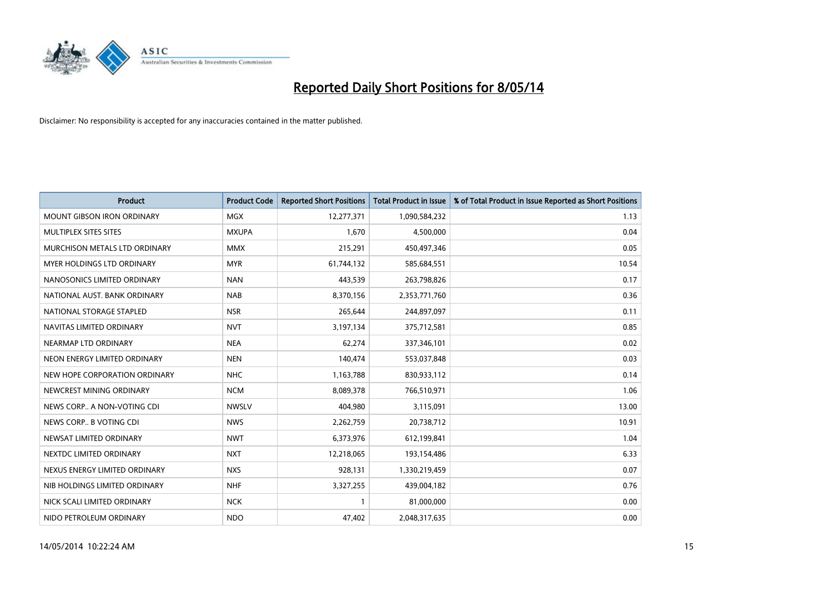

| <b>Product</b>                    | <b>Product Code</b> | <b>Reported Short Positions</b> | <b>Total Product in Issue</b> | % of Total Product in Issue Reported as Short Positions |
|-----------------------------------|---------------------|---------------------------------|-------------------------------|---------------------------------------------------------|
| <b>MOUNT GIBSON IRON ORDINARY</b> | MGX                 | 12,277,371                      | 1,090,584,232                 | 1.13                                                    |
| MULTIPLEX SITES SITES             | <b>MXUPA</b>        | 1,670                           | 4,500,000                     | 0.04                                                    |
| MURCHISON METALS LTD ORDINARY     | <b>MMX</b>          | 215,291                         | 450,497,346                   | 0.05                                                    |
| MYER HOLDINGS LTD ORDINARY        | <b>MYR</b>          | 61,744,132                      | 585,684,551                   | 10.54                                                   |
| NANOSONICS LIMITED ORDINARY       | <b>NAN</b>          | 443,539                         | 263,798,826                   | 0.17                                                    |
| NATIONAL AUST. BANK ORDINARY      | <b>NAB</b>          | 8,370,156                       | 2,353,771,760                 | 0.36                                                    |
| NATIONAL STORAGE STAPLED          | <b>NSR</b>          | 265,644                         | 244,897,097                   | 0.11                                                    |
| NAVITAS LIMITED ORDINARY          | <b>NVT</b>          | 3,197,134                       | 375,712,581                   | 0.85                                                    |
| NEARMAP LTD ORDINARY              | <b>NEA</b>          | 62.274                          | 337,346,101                   | 0.02                                                    |
| NEON ENERGY LIMITED ORDINARY      | <b>NEN</b>          | 140,474                         | 553,037,848                   | 0.03                                                    |
| NEW HOPE CORPORATION ORDINARY     | <b>NHC</b>          | 1,163,788                       | 830,933,112                   | 0.14                                                    |
| NEWCREST MINING ORDINARY          | <b>NCM</b>          | 8,089,378                       | 766,510,971                   | 1.06                                                    |
| NEWS CORP A NON-VOTING CDI        | <b>NWSLV</b>        | 404,980                         | 3,115,091                     | 13.00                                                   |
| NEWS CORP B VOTING CDI            | <b>NWS</b>          | 2,262,759                       | 20,738,712                    | 10.91                                                   |
| NEWSAT LIMITED ORDINARY           | <b>NWT</b>          | 6,373,976                       | 612,199,841                   | 1.04                                                    |
| NEXTDC LIMITED ORDINARY           | <b>NXT</b>          | 12,218,065                      | 193,154,486                   | 6.33                                                    |
| NEXUS ENERGY LIMITED ORDINARY     | <b>NXS</b>          | 928,131                         | 1,330,219,459                 | 0.07                                                    |
| NIB HOLDINGS LIMITED ORDINARY     | <b>NHF</b>          | 3,327,255                       | 439,004,182                   | 0.76                                                    |
| NICK SCALI LIMITED ORDINARY       | <b>NCK</b>          | $\mathbf{1}$                    | 81,000,000                    | 0.00                                                    |
| NIDO PETROLEUM ORDINARY           | <b>NDO</b>          | 47,402                          | 2,048,317,635                 | 0.00                                                    |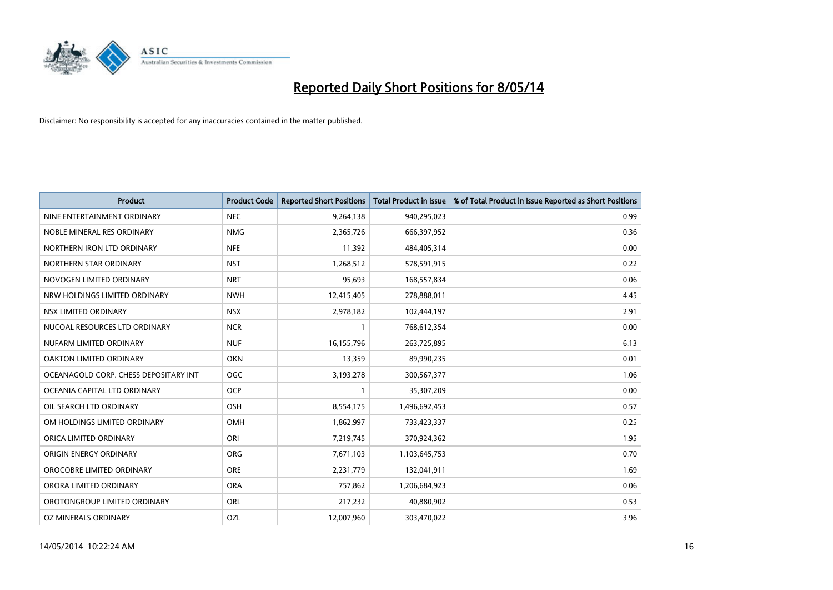

| <b>Product</b>                        | <b>Product Code</b> | <b>Reported Short Positions</b> | <b>Total Product in Issue</b> | % of Total Product in Issue Reported as Short Positions |
|---------------------------------------|---------------------|---------------------------------|-------------------------------|---------------------------------------------------------|
| NINE ENTERTAINMENT ORDINARY           | <b>NEC</b>          | 9,264,138                       | 940,295,023                   | 0.99                                                    |
| NOBLE MINERAL RES ORDINARY            | <b>NMG</b>          | 2,365,726                       | 666,397,952                   | 0.36                                                    |
| NORTHERN IRON LTD ORDINARY            | <b>NFE</b>          | 11,392                          | 484,405,314                   | 0.00                                                    |
| NORTHERN STAR ORDINARY                | <b>NST</b>          | 1,268,512                       | 578,591,915                   | 0.22                                                    |
| NOVOGEN LIMITED ORDINARY              | <b>NRT</b>          | 95,693                          | 168,557,834                   | 0.06                                                    |
| NRW HOLDINGS LIMITED ORDINARY         | <b>NWH</b>          | 12,415,405                      | 278,888,011                   | 4.45                                                    |
| NSX LIMITED ORDINARY                  | <b>NSX</b>          | 2,978,182                       | 102,444,197                   | 2.91                                                    |
| NUCOAL RESOURCES LTD ORDINARY         | <b>NCR</b>          | $\mathbf{1}$                    | 768,612,354                   | 0.00                                                    |
| NUFARM LIMITED ORDINARY               | <b>NUF</b>          | 16,155,796                      | 263,725,895                   | 6.13                                                    |
| <b>OAKTON LIMITED ORDINARY</b>        | <b>OKN</b>          | 13,359                          | 89,990,235                    | 0.01                                                    |
| OCEANAGOLD CORP. CHESS DEPOSITARY INT | <b>OGC</b>          | 3,193,278                       | 300,567,377                   | 1.06                                                    |
| OCEANIA CAPITAL LTD ORDINARY          | <b>OCP</b>          | $\mathbf{1}$                    | 35,307,209                    | 0.00                                                    |
| OIL SEARCH LTD ORDINARY               | OSH                 | 8,554,175                       | 1,496,692,453                 | 0.57                                                    |
| OM HOLDINGS LIMITED ORDINARY          | OMH                 | 1,862,997                       | 733,423,337                   | 0.25                                                    |
| ORICA LIMITED ORDINARY                | ORI                 | 7,219,745                       | 370,924,362                   | 1.95                                                    |
| ORIGIN ENERGY ORDINARY                | ORG                 | 7,671,103                       | 1,103,645,753                 | 0.70                                                    |
| OROCOBRE LIMITED ORDINARY             | <b>ORE</b>          | 2,231,779                       | 132,041,911                   | 1.69                                                    |
| ORORA LIMITED ORDINARY                | <b>ORA</b>          | 757,862                         | 1,206,684,923                 | 0.06                                                    |
| OROTONGROUP LIMITED ORDINARY          | <b>ORL</b>          | 217,232                         | 40,880,902                    | 0.53                                                    |
| OZ MINERALS ORDINARY                  | OZL                 | 12,007,960                      | 303,470,022                   | 3.96                                                    |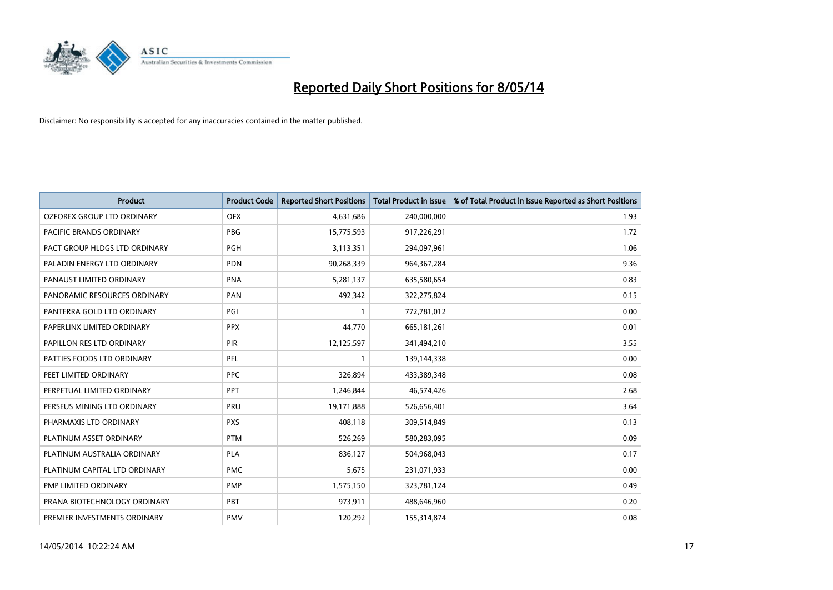

| <b>Product</b>                | <b>Product Code</b> | <b>Reported Short Positions</b> | <b>Total Product in Issue</b> | % of Total Product in Issue Reported as Short Positions |
|-------------------------------|---------------------|---------------------------------|-------------------------------|---------------------------------------------------------|
| OZFOREX GROUP LTD ORDINARY    | <b>OFX</b>          | 4,631,686                       | 240,000,000                   | 1.93                                                    |
| PACIFIC BRANDS ORDINARY       | <b>PBG</b>          | 15,775,593                      | 917,226,291                   | 1.72                                                    |
| PACT GROUP HLDGS LTD ORDINARY | PGH                 | 3,113,351                       | 294,097,961                   | 1.06                                                    |
| PALADIN ENERGY LTD ORDINARY   | <b>PDN</b>          | 90,268,339                      | 964, 367, 284                 | 9.36                                                    |
| PANAUST LIMITED ORDINARY      | <b>PNA</b>          | 5,281,137                       | 635,580,654                   | 0.83                                                    |
| PANORAMIC RESOURCES ORDINARY  | PAN                 | 492,342                         | 322,275,824                   | 0.15                                                    |
| PANTERRA GOLD LTD ORDINARY    | PGI                 | $\mathbf{1}$                    | 772,781,012                   | 0.00                                                    |
| PAPERLINX LIMITED ORDINARY    | <b>PPX</b>          | 44.770                          | 665, 181, 261                 | 0.01                                                    |
| PAPILLON RES LTD ORDINARY     | <b>PIR</b>          | 12,125,597                      | 341,494,210                   | 3.55                                                    |
| PATTIES FOODS LTD ORDINARY    | PFL                 | $\mathbf{1}$                    | 139,144,338                   | 0.00                                                    |
| PEET LIMITED ORDINARY         | <b>PPC</b>          | 326,894                         | 433,389,348                   | 0.08                                                    |
| PERPETUAL LIMITED ORDINARY    | PPT                 | 1,246,844                       | 46,574,426                    | 2.68                                                    |
| PERSEUS MINING LTD ORDINARY   | PRU                 | 19,171,888                      | 526,656,401                   | 3.64                                                    |
| PHARMAXIS LTD ORDINARY        | <b>PXS</b>          | 408,118                         | 309,514,849                   | 0.13                                                    |
| PLATINUM ASSET ORDINARY       | <b>PTM</b>          | 526,269                         | 580,283,095                   | 0.09                                                    |
| PLATINUM AUSTRALIA ORDINARY   | <b>PLA</b>          | 836,127                         | 504,968,043                   | 0.17                                                    |
| PLATINUM CAPITAL LTD ORDINARY | <b>PMC</b>          | 5,675                           | 231,071,933                   | 0.00                                                    |
| PMP LIMITED ORDINARY          | <b>PMP</b>          | 1,575,150                       | 323,781,124                   | 0.49                                                    |
| PRANA BIOTECHNOLOGY ORDINARY  | PBT                 | 973,911                         | 488,646,960                   | 0.20                                                    |
| PREMIER INVESTMENTS ORDINARY  | <b>PMV</b>          | 120,292                         | 155,314,874                   | 0.08                                                    |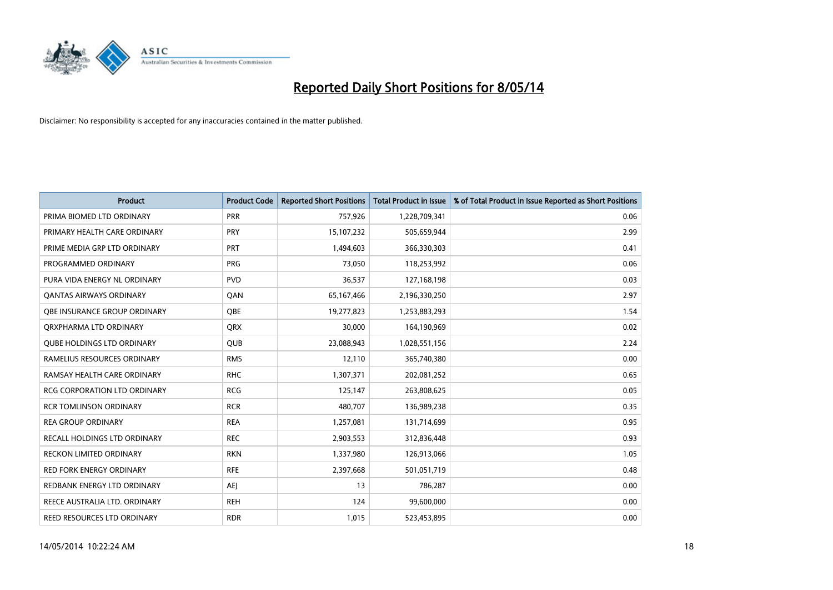

| <b>Product</b>                      | <b>Product Code</b> | <b>Reported Short Positions</b> | <b>Total Product in Issue</b> | % of Total Product in Issue Reported as Short Positions |
|-------------------------------------|---------------------|---------------------------------|-------------------------------|---------------------------------------------------------|
| PRIMA BIOMED LTD ORDINARY           | <b>PRR</b>          | 757,926                         | 1,228,709,341                 | 0.06                                                    |
| PRIMARY HEALTH CARE ORDINARY        | <b>PRY</b>          | 15,107,232                      | 505,659,944                   | 2.99                                                    |
| PRIME MEDIA GRP LTD ORDINARY        | <b>PRT</b>          | 1,494,603                       | 366,330,303                   | 0.41                                                    |
| PROGRAMMED ORDINARY                 | <b>PRG</b>          | 73,050                          | 118,253,992                   | 0.06                                                    |
| PURA VIDA ENERGY NL ORDINARY        | <b>PVD</b>          | 36,537                          | 127,168,198                   | 0.03                                                    |
| <b>QANTAS AIRWAYS ORDINARY</b>      | QAN                 | 65,167,466                      | 2,196,330,250                 | 2.97                                                    |
| OBE INSURANCE GROUP ORDINARY        | QBE                 | 19,277,823                      | 1,253,883,293                 | 1.54                                                    |
| ORXPHARMA LTD ORDINARY              | QRX                 | 30,000                          | 164,190,969                   | 0.02                                                    |
| <b>OUBE HOLDINGS LTD ORDINARY</b>   | QUB                 | 23,088,943                      | 1,028,551,156                 | 2.24                                                    |
| RAMELIUS RESOURCES ORDINARY         | <b>RMS</b>          | 12,110                          | 365,740,380                   | 0.00                                                    |
| RAMSAY HEALTH CARE ORDINARY         | <b>RHC</b>          | 1,307,371                       | 202,081,252                   | 0.65                                                    |
| <b>RCG CORPORATION LTD ORDINARY</b> | <b>RCG</b>          | 125,147                         | 263,808,625                   | 0.05                                                    |
| <b>RCR TOMLINSON ORDINARY</b>       | <b>RCR</b>          | 480,707                         | 136,989,238                   | 0.35                                                    |
| <b>REA GROUP ORDINARY</b>           | <b>REA</b>          | 1,257,081                       | 131,714,699                   | 0.95                                                    |
| RECALL HOLDINGS LTD ORDINARY        | <b>REC</b>          | 2,903,553                       | 312,836,448                   | 0.93                                                    |
| <b>RECKON LIMITED ORDINARY</b>      | <b>RKN</b>          | 1,337,980                       | 126,913,066                   | 1.05                                                    |
| <b>RED FORK ENERGY ORDINARY</b>     | <b>RFE</b>          | 2,397,668                       | 501,051,719                   | 0.48                                                    |
| REDBANK ENERGY LTD ORDINARY         | AEJ                 | 13                              | 786,287                       | 0.00                                                    |
| REECE AUSTRALIA LTD. ORDINARY       | <b>REH</b>          | 124                             | 99,600,000                    | 0.00                                                    |
| REED RESOURCES LTD ORDINARY         | <b>RDR</b>          | 1,015                           | 523,453,895                   | 0.00                                                    |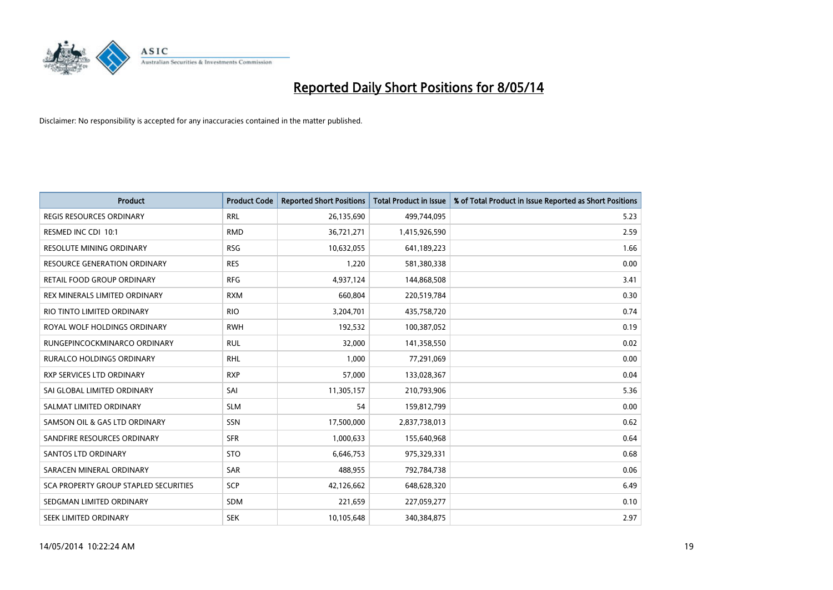

| <b>Product</b>                        | <b>Product Code</b> | <b>Reported Short Positions</b> | <b>Total Product in Issue</b> | % of Total Product in Issue Reported as Short Positions |
|---------------------------------------|---------------------|---------------------------------|-------------------------------|---------------------------------------------------------|
| <b>REGIS RESOURCES ORDINARY</b>       | <b>RRL</b>          | 26,135,690                      | 499,744,095                   | 5.23                                                    |
| RESMED INC CDI 10:1                   | <b>RMD</b>          | 36,721,271                      | 1,415,926,590                 | 2.59                                                    |
| <b>RESOLUTE MINING ORDINARY</b>       | <b>RSG</b>          | 10,632,055                      | 641,189,223                   | 1.66                                                    |
| <b>RESOURCE GENERATION ORDINARY</b>   | <b>RES</b>          | 1,220                           | 581,380,338                   | 0.00                                                    |
| <b>RETAIL FOOD GROUP ORDINARY</b>     | <b>RFG</b>          | 4,937,124                       | 144,868,508                   | 3.41                                                    |
| REX MINERALS LIMITED ORDINARY         | <b>RXM</b>          | 660,804                         | 220,519,784                   | 0.30                                                    |
| RIO TINTO LIMITED ORDINARY            | <b>RIO</b>          | 3,204,701                       | 435,758,720                   | 0.74                                                    |
| ROYAL WOLF HOLDINGS ORDINARY          | <b>RWH</b>          | 192,532                         | 100,387,052                   | 0.19                                                    |
| RUNGEPINCOCKMINARCO ORDINARY          | <b>RUL</b>          | 32,000                          | 141,358,550                   | 0.02                                                    |
| <b>RURALCO HOLDINGS ORDINARY</b>      | <b>RHL</b>          | 1,000                           | 77,291,069                    | 0.00                                                    |
| <b>RXP SERVICES LTD ORDINARY</b>      | <b>RXP</b>          | 57,000                          | 133,028,367                   | 0.04                                                    |
| SAI GLOBAL LIMITED ORDINARY           | SAI                 | 11,305,157                      | 210,793,906                   | 5.36                                                    |
| SALMAT LIMITED ORDINARY               | <b>SLM</b>          | 54                              | 159,812,799                   | 0.00                                                    |
| SAMSON OIL & GAS LTD ORDINARY         | SSN                 | 17,500,000                      | 2,837,738,013                 | 0.62                                                    |
| SANDFIRE RESOURCES ORDINARY           | <b>SFR</b>          | 1,000,633                       | 155,640,968                   | 0.64                                                    |
| SANTOS LTD ORDINARY                   | <b>STO</b>          | 6,646,753                       | 975,329,331                   | 0.68                                                    |
| SARACEN MINERAL ORDINARY              | <b>SAR</b>          | 488,955                         | 792,784,738                   | 0.06                                                    |
| SCA PROPERTY GROUP STAPLED SECURITIES | <b>SCP</b>          | 42,126,662                      | 648,628,320                   | 6.49                                                    |
| SEDGMAN LIMITED ORDINARY              | <b>SDM</b>          | 221,659                         | 227,059,277                   | 0.10                                                    |
| SEEK LIMITED ORDINARY                 | <b>SEK</b>          | 10,105,648                      | 340,384,875                   | 2.97                                                    |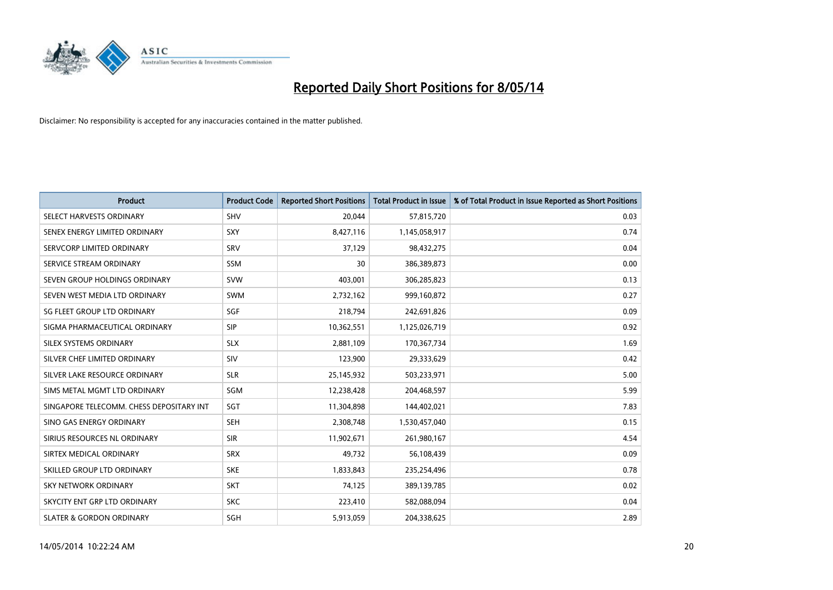

| <b>Product</b>                           | <b>Product Code</b> | <b>Reported Short Positions</b> | <b>Total Product in Issue</b> | % of Total Product in Issue Reported as Short Positions |
|------------------------------------------|---------------------|---------------------------------|-------------------------------|---------------------------------------------------------|
| SELECT HARVESTS ORDINARY                 | SHV                 | 20,044                          | 57,815,720                    | 0.03                                                    |
| SENEX ENERGY LIMITED ORDINARY            | <b>SXY</b>          | 8,427,116                       | 1,145,058,917                 | 0.74                                                    |
| SERVCORP LIMITED ORDINARY                | SRV                 | 37,129                          | 98,432,275                    | 0.04                                                    |
| SERVICE STREAM ORDINARY                  | <b>SSM</b>          | 30                              | 386,389,873                   | 0.00                                                    |
| SEVEN GROUP HOLDINGS ORDINARY            | <b>SVW</b>          | 403,001                         | 306,285,823                   | 0.13                                                    |
| SEVEN WEST MEDIA LTD ORDINARY            | <b>SWM</b>          | 2,732,162                       | 999,160,872                   | 0.27                                                    |
| SG FLEET GROUP LTD ORDINARY              | <b>SGF</b>          | 218,794                         | 242,691,826                   | 0.09                                                    |
| SIGMA PHARMACEUTICAL ORDINARY            | <b>SIP</b>          | 10,362,551                      | 1,125,026,719                 | 0.92                                                    |
| SILEX SYSTEMS ORDINARY                   | <b>SLX</b>          | 2,881,109                       | 170,367,734                   | 1.69                                                    |
| SILVER CHEF LIMITED ORDINARY             | <b>SIV</b>          | 123,900                         | 29,333,629                    | 0.42                                                    |
| SILVER LAKE RESOURCE ORDINARY            | <b>SLR</b>          | 25,145,932                      | 503,233,971                   | 5.00                                                    |
| SIMS METAL MGMT LTD ORDINARY             | SGM                 | 12,238,428                      | 204,468,597                   | 5.99                                                    |
| SINGAPORE TELECOMM. CHESS DEPOSITARY INT | SGT                 | 11,304,898                      | 144,402,021                   | 7.83                                                    |
| SINO GAS ENERGY ORDINARY                 | <b>SEH</b>          | 2,308,748                       | 1,530,457,040                 | 0.15                                                    |
| SIRIUS RESOURCES NL ORDINARY             | <b>SIR</b>          | 11,902,671                      | 261,980,167                   | 4.54                                                    |
| SIRTEX MEDICAL ORDINARY                  | <b>SRX</b>          | 49,732                          | 56,108,439                    | 0.09                                                    |
| SKILLED GROUP LTD ORDINARY               | <b>SKE</b>          | 1,833,843                       | 235,254,496                   | 0.78                                                    |
| SKY NETWORK ORDINARY                     | <b>SKT</b>          | 74,125                          | 389,139,785                   | 0.02                                                    |
| SKYCITY ENT GRP LTD ORDINARY             | <b>SKC</b>          | 223,410                         | 582,088,094                   | 0.04                                                    |
| <b>SLATER &amp; GORDON ORDINARY</b>      | SGH                 | 5,913,059                       | 204,338,625                   | 2.89                                                    |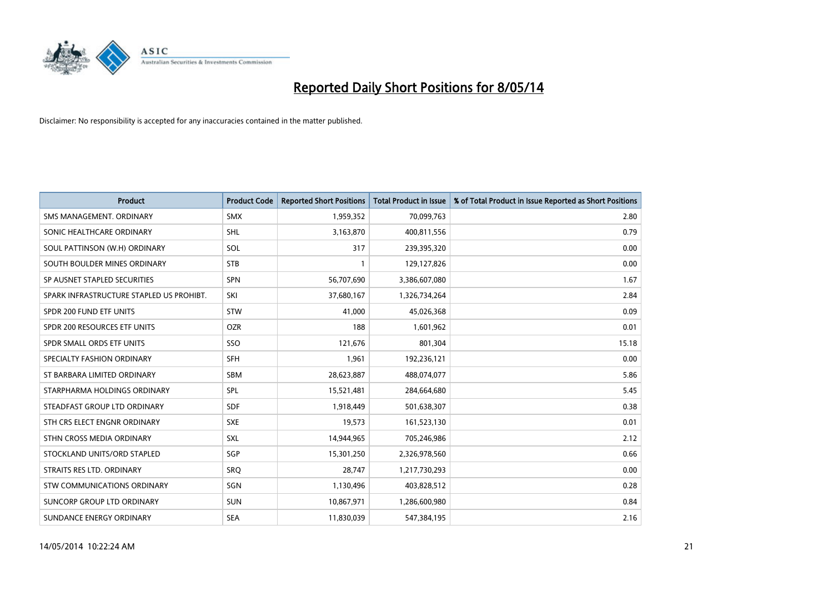

| <b>Product</b>                           | <b>Product Code</b> | <b>Reported Short Positions</b> | <b>Total Product in Issue</b> | % of Total Product in Issue Reported as Short Positions |
|------------------------------------------|---------------------|---------------------------------|-------------------------------|---------------------------------------------------------|
| SMS MANAGEMENT, ORDINARY                 | <b>SMX</b>          | 1,959,352                       | 70,099,763                    | 2.80                                                    |
| SONIC HEALTHCARE ORDINARY                | <b>SHL</b>          | 3,163,870                       | 400,811,556                   | 0.79                                                    |
| SOUL PATTINSON (W.H) ORDINARY            | SOL                 | 317                             | 239,395,320                   | 0.00                                                    |
| SOUTH BOULDER MINES ORDINARY             | <b>STB</b>          | 1                               | 129,127,826                   | 0.00                                                    |
| SP AUSNET STAPLED SECURITIES             | SPN                 | 56,707,690                      | 3,386,607,080                 | 1.67                                                    |
| SPARK INFRASTRUCTURE STAPLED US PROHIBT. | SKI                 | 37,680,167                      | 1,326,734,264                 | 2.84                                                    |
| SPDR 200 FUND ETF UNITS                  | <b>STW</b>          | 41,000                          | 45,026,368                    | 0.09                                                    |
| SPDR 200 RESOURCES ETF UNITS             | <b>OZR</b>          | 188                             | 1,601,962                     | 0.01                                                    |
| SPDR SMALL ORDS ETF UNITS                | SSO                 | 121,676                         | 801,304                       | 15.18                                                   |
| SPECIALTY FASHION ORDINARY               | <b>SFH</b>          | 1,961                           | 192,236,121                   | 0.00                                                    |
| ST BARBARA LIMITED ORDINARY              | SBM                 | 28,623,887                      | 488,074,077                   | 5.86                                                    |
| STARPHARMA HOLDINGS ORDINARY             | SPL                 | 15,521,481                      | 284,664,680                   | 5.45                                                    |
| STEADFAST GROUP LTD ORDINARY             | <b>SDF</b>          | 1,918,449                       | 501,638,307                   | 0.38                                                    |
| STH CRS ELECT ENGNR ORDINARY             | <b>SXE</b>          | 19,573                          | 161,523,130                   | 0.01                                                    |
| STHN CROSS MEDIA ORDINARY                | <b>SXL</b>          | 14,944,965                      | 705,246,986                   | 2.12                                                    |
| STOCKLAND UNITS/ORD STAPLED              | SGP                 | 15,301,250                      | 2,326,978,560                 | 0.66                                                    |
| STRAITS RES LTD. ORDINARY                | SRQ                 | 28,747                          | 1,217,730,293                 | 0.00                                                    |
| STW COMMUNICATIONS ORDINARY              | SGN                 | 1,130,496                       | 403,828,512                   | 0.28                                                    |
| SUNCORP GROUP LTD ORDINARY               | <b>SUN</b>          | 10,867,971                      | 1,286,600,980                 | 0.84                                                    |
| SUNDANCE ENERGY ORDINARY                 | <b>SEA</b>          | 11,830,039                      | 547,384,195                   | 2.16                                                    |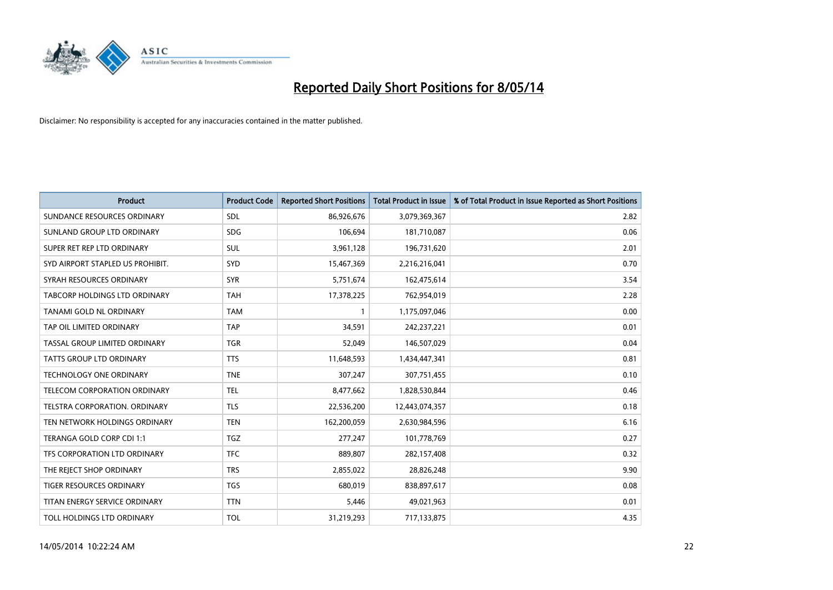

| <b>Product</b>                      | <b>Product Code</b> | <b>Reported Short Positions</b> | <b>Total Product in Issue</b> | % of Total Product in Issue Reported as Short Positions |
|-------------------------------------|---------------------|---------------------------------|-------------------------------|---------------------------------------------------------|
| SUNDANCE RESOURCES ORDINARY         | <b>SDL</b>          | 86,926,676                      | 3,079,369,367                 | 2.82                                                    |
| SUNLAND GROUP LTD ORDINARY          | <b>SDG</b>          | 106,694                         | 181,710,087                   | 0.06                                                    |
| SUPER RET REP LTD ORDINARY          | <b>SUL</b>          | 3,961,128                       | 196,731,620                   | 2.01                                                    |
| SYD AIRPORT STAPLED US PROHIBIT.    | <b>SYD</b>          | 15,467,369                      | 2,216,216,041                 | 0.70                                                    |
| SYRAH RESOURCES ORDINARY            | <b>SYR</b>          | 5,751,674                       | 162,475,614                   | 3.54                                                    |
| TABCORP HOLDINGS LTD ORDINARY       | <b>TAH</b>          | 17,378,225                      | 762,954,019                   | 2.28                                                    |
| <b>TANAMI GOLD NL ORDINARY</b>      | <b>TAM</b>          |                                 | 1,175,097,046                 | 0.00                                                    |
| TAP OIL LIMITED ORDINARY            | <b>TAP</b>          | 34,591                          | 242,237,221                   | 0.01                                                    |
| TASSAL GROUP LIMITED ORDINARY       | <b>TGR</b>          | 52,049                          | 146,507,029                   | 0.04                                                    |
| <b>TATTS GROUP LTD ORDINARY</b>     | <b>TTS</b>          | 11,648,593                      | 1,434,447,341                 | 0.81                                                    |
| <b>TECHNOLOGY ONE ORDINARY</b>      | <b>TNE</b>          | 307,247                         | 307,751,455                   | 0.10                                                    |
| <b>TELECOM CORPORATION ORDINARY</b> | <b>TEL</b>          | 8,477,662                       | 1,828,530,844                 | 0.46                                                    |
| TELSTRA CORPORATION. ORDINARY       | <b>TLS</b>          | 22,536,200                      | 12,443,074,357                | 0.18                                                    |
| TEN NETWORK HOLDINGS ORDINARY       | <b>TEN</b>          | 162,200,059                     | 2,630,984,596                 | 6.16                                                    |
| TERANGA GOLD CORP CDI 1:1           | <b>TGZ</b>          | 277,247                         | 101,778,769                   | 0.27                                                    |
| TFS CORPORATION LTD ORDINARY        | <b>TFC</b>          | 889,807                         | 282,157,408                   | 0.32                                                    |
| THE REJECT SHOP ORDINARY            | <b>TRS</b>          | 2,855,022                       | 28,826,248                    | 9.90                                                    |
| TIGER RESOURCES ORDINARY            | <b>TGS</b>          | 680,019                         | 838,897,617                   | 0.08                                                    |
| TITAN ENERGY SERVICE ORDINARY       | <b>TTN</b>          | 5,446                           | 49,021,963                    | 0.01                                                    |
| TOLL HOLDINGS LTD ORDINARY          | <b>TOL</b>          | 31,219,293                      | 717,133,875                   | 4.35                                                    |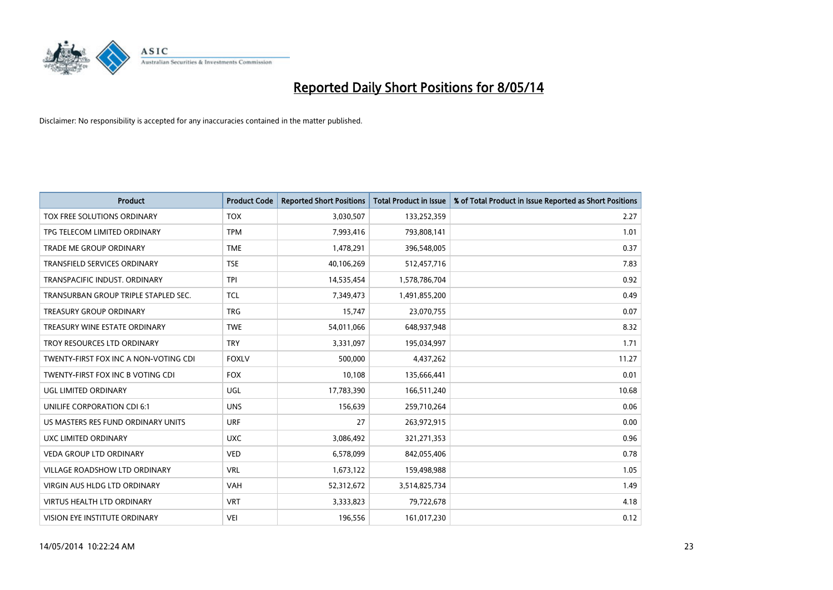

| <b>Product</b>                        | <b>Product Code</b> | <b>Reported Short Positions</b> | <b>Total Product in Issue</b> | % of Total Product in Issue Reported as Short Positions |
|---------------------------------------|---------------------|---------------------------------|-------------------------------|---------------------------------------------------------|
| TOX FREE SOLUTIONS ORDINARY           | <b>TOX</b>          | 3,030,507                       | 133,252,359                   | 2.27                                                    |
| TPG TELECOM LIMITED ORDINARY          | <b>TPM</b>          | 7,993,416                       | 793,808,141                   | 1.01                                                    |
| <b>TRADE ME GROUP ORDINARY</b>        | <b>TME</b>          | 1,478,291                       | 396,548,005                   | 0.37                                                    |
| TRANSFIELD SERVICES ORDINARY          | <b>TSE</b>          | 40,106,269                      | 512,457,716                   | 7.83                                                    |
| TRANSPACIFIC INDUST, ORDINARY         | <b>TPI</b>          | 14,535,454                      | 1,578,786,704                 | 0.92                                                    |
| TRANSURBAN GROUP TRIPLE STAPLED SEC.  | <b>TCL</b>          | 7,349,473                       | 1,491,855,200                 | 0.49                                                    |
| <b>TREASURY GROUP ORDINARY</b>        | <b>TRG</b>          | 15,747                          | 23,070,755                    | 0.07                                                    |
| TREASURY WINE ESTATE ORDINARY         | <b>TWE</b>          | 54,011,066                      | 648,937,948                   | 8.32                                                    |
| TROY RESOURCES LTD ORDINARY           | <b>TRY</b>          | 3,331,097                       | 195,034,997                   | 1.71                                                    |
| TWENTY-FIRST FOX INC A NON-VOTING CDI | <b>FOXLV</b>        | 500,000                         | 4,437,262                     | 11.27                                                   |
| TWENTY-FIRST FOX INC B VOTING CDI     | <b>FOX</b>          | 10,108                          | 135,666,441                   | 0.01                                                    |
| UGL LIMITED ORDINARY                  | UGL                 | 17,783,390                      | 166,511,240                   | 10.68                                                   |
| UNILIFE CORPORATION CDI 6:1           | <b>UNS</b>          | 156,639                         | 259,710,264                   | 0.06                                                    |
| US MASTERS RES FUND ORDINARY UNITS    | <b>URF</b>          | 27                              | 263,972,915                   | 0.00                                                    |
| UXC LIMITED ORDINARY                  | <b>UXC</b>          | 3,086,492                       | 321,271,353                   | 0.96                                                    |
| VEDA GROUP LTD ORDINARY               | <b>VED</b>          | 6,578,099                       | 842,055,406                   | 0.78                                                    |
| VILLAGE ROADSHOW LTD ORDINARY         | <b>VRL</b>          | 1,673,122                       | 159,498,988                   | 1.05                                                    |
| <b>VIRGIN AUS HLDG LTD ORDINARY</b>   | <b>VAH</b>          | 52,312,672                      | 3,514,825,734                 | 1.49                                                    |
| <b>VIRTUS HEALTH LTD ORDINARY</b>     | <b>VRT</b>          | 3,333,823                       | 79,722,678                    | 4.18                                                    |
| VISION EYE INSTITUTE ORDINARY         | <b>VEI</b>          | 196,556                         | 161,017,230                   | 0.12                                                    |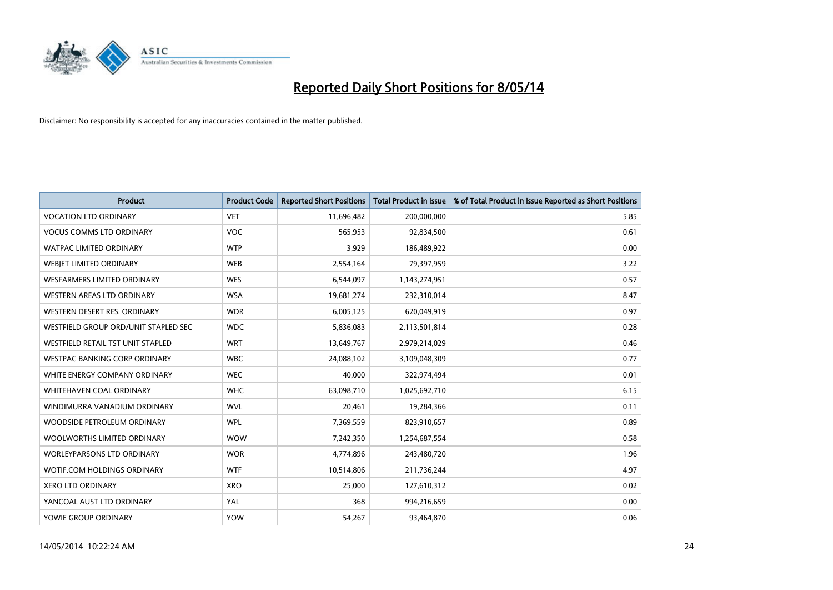

| <b>Product</b>                       | <b>Product Code</b> | <b>Reported Short Positions</b> | <b>Total Product in Issue</b> | % of Total Product in Issue Reported as Short Positions |
|--------------------------------------|---------------------|---------------------------------|-------------------------------|---------------------------------------------------------|
| <b>VOCATION LTD ORDINARY</b>         | <b>VET</b>          | 11,696,482                      | 200,000,000                   | 5.85                                                    |
| <b>VOCUS COMMS LTD ORDINARY</b>      | <b>VOC</b>          | 565,953                         | 92,834,500                    | 0.61                                                    |
| <b>WATPAC LIMITED ORDINARY</b>       | <b>WTP</b>          | 3,929                           | 186,489,922                   | 0.00                                                    |
| WEBJET LIMITED ORDINARY              | <b>WEB</b>          | 2,554,164                       | 79,397,959                    | 3.22                                                    |
| <b>WESFARMERS LIMITED ORDINARY</b>   | <b>WES</b>          | 6,544,097                       | 1,143,274,951                 | 0.57                                                    |
| WESTERN AREAS LTD ORDINARY           | <b>WSA</b>          | 19,681,274                      | 232,310,014                   | 8.47                                                    |
| WESTERN DESERT RES. ORDINARY         | <b>WDR</b>          | 6,005,125                       | 620,049,919                   | 0.97                                                    |
| WESTFIELD GROUP ORD/UNIT STAPLED SEC | <b>WDC</b>          | 5,836,083                       | 2,113,501,814                 | 0.28                                                    |
| WESTFIELD RETAIL TST UNIT STAPLED    | <b>WRT</b>          | 13,649,767                      | 2,979,214,029                 | 0.46                                                    |
| WESTPAC BANKING CORP ORDINARY        | <b>WBC</b>          | 24,088,102                      | 3,109,048,309                 | 0.77                                                    |
| WHITE ENERGY COMPANY ORDINARY        | <b>WEC</b>          | 40,000                          | 322,974,494                   | 0.01                                                    |
| <b>WHITEHAVEN COAL ORDINARY</b>      | <b>WHC</b>          | 63,098,710                      | 1,025,692,710                 | 6.15                                                    |
| WINDIMURRA VANADIUM ORDINARY         | <b>WVL</b>          | 20,461                          | 19,284,366                    | 0.11                                                    |
| WOODSIDE PETROLEUM ORDINARY          | <b>WPL</b>          | 7,369,559                       | 823,910,657                   | 0.89                                                    |
| WOOLWORTHS LIMITED ORDINARY          | <b>WOW</b>          | 7,242,350                       | 1,254,687,554                 | 0.58                                                    |
| WORLEYPARSONS LTD ORDINARY           | <b>WOR</b>          | 4,774,896                       | 243,480,720                   | 1.96                                                    |
| WOTIF.COM HOLDINGS ORDINARY          | <b>WTF</b>          | 10,514,806                      | 211,736,244                   | 4.97                                                    |
| <b>XERO LTD ORDINARY</b>             | <b>XRO</b>          | 25,000                          | 127,610,312                   | 0.02                                                    |
| YANCOAL AUST LTD ORDINARY            | YAL                 | 368                             | 994,216,659                   | 0.00                                                    |
| YOWIE GROUP ORDINARY                 | <b>YOW</b>          | 54,267                          | 93,464,870                    | 0.06                                                    |